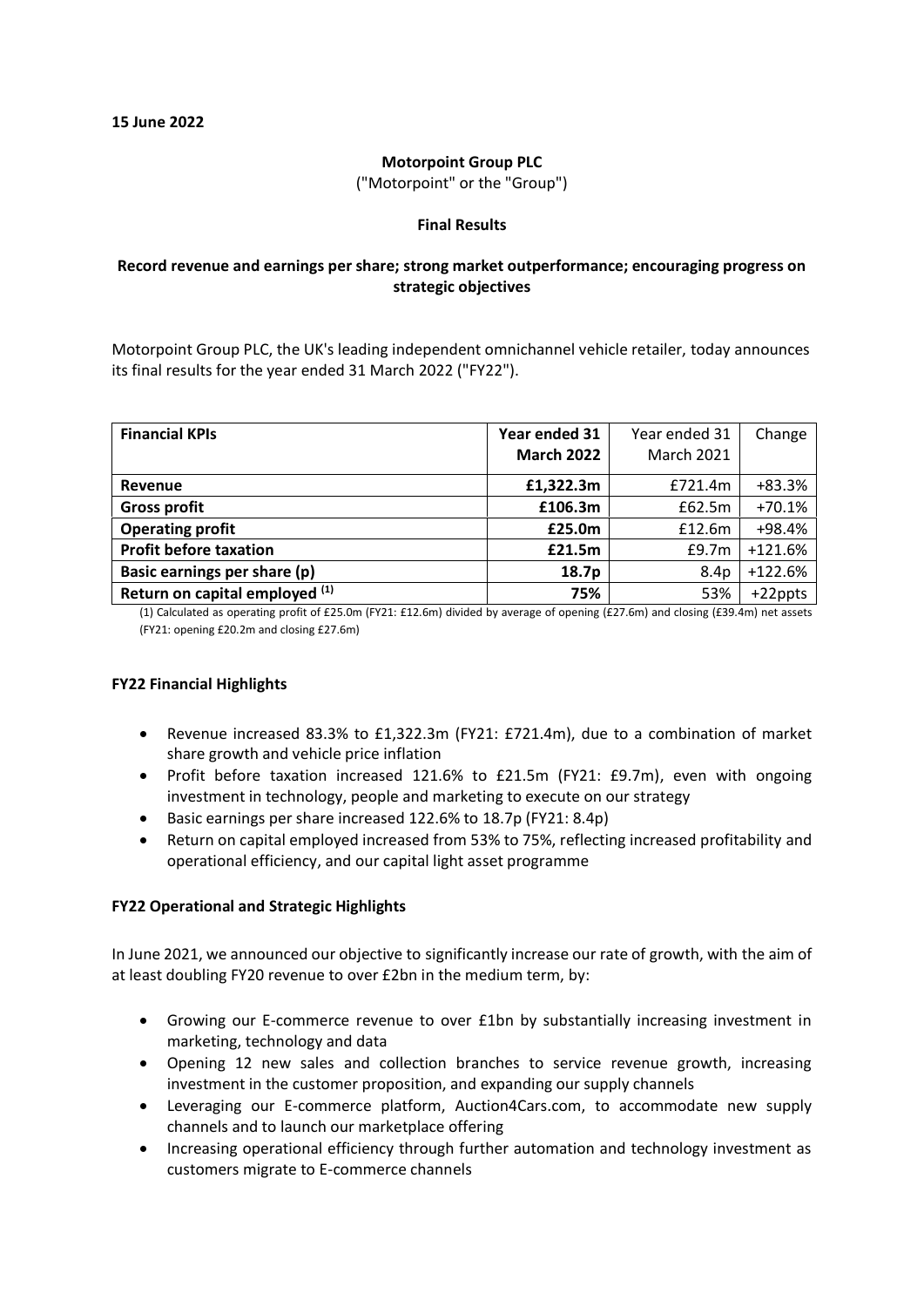# **Motorpoint Group PLC**

("Motorpoint" or the "Group")

# **Final Results**

# **Record revenue and earnings per share; strong market outperformance; encouraging progress on strategic objectives**

Motorpoint Group PLC, the UK's leading independent omnichannel vehicle retailer, today announces its final results for the year ended 31 March 2022 ("FY22").

| <b>Financial KPIs</b>          | Year ended 31     | Year ended 31     | Change    |
|--------------------------------|-------------------|-------------------|-----------|
|                                | <b>March 2022</b> | <b>March 2021</b> |           |
| Revenue                        | £1,322.3m         | £721.4m           | $+83.3%$  |
| <b>Gross profit</b>            | £106.3m           | £62.5m            | $+70.1%$  |
| <b>Operating profit</b>        | £25.0m            | £12.6m            | +98.4%    |
| <b>Profit before taxation</b>  | £21.5m            | £9.7m             | $+121.6%$ |
| Basic earnings per share (p)   | 18.7p             | 8.4p              | $+122.6%$ |
| Return on capital employed (1) | 75%               | 53%               | +22ppts   |

(1) Calculated as operating profit of £25.0m (FY21: £12.6m) divided by average of opening (£27.6m) and closing (£39.4m) net assets (FY21: opening £20.2m and closing £27.6m)

# **FY22 Financial Highlights**

- Revenue increased 83.3% to £1,322.3m (FY21: £721.4m), due to a combination of market share growth and vehicle price inflation
- Profit before taxation increased 121.6% to £21.5m (FY21: £9.7m), even with ongoing investment in technology, people and marketing to execute on our strategy
- Basic earnings per share increased 122.6% to 18.7p (FY21: 8.4p)
- Return on capital employed increased from 53% to 75%, reflecting increased profitability and operational efficiency, and our capital light asset programme

# **FY22 Operational and Strategic Highlights**

In June 2021, we announced our objective to significantly increase our rate of growth, with the aim of at least doubling FY20 revenue to over £2bn in the medium term, by:

- Growing our E-commerce revenue to over £1bn by substantially increasing investment in marketing, technology and data
- Opening 12 new sales and collection branches to service revenue growth, increasing investment in the customer proposition, and expanding our supply channels
- Leveraging our E-commerce platform, [Auction4Cars.com,](http://auction4cars.com/) to accommodate new supply channels and to launch our marketplace offering
- Increasing operational efficiency through further automation and technology investment as customers migrate to E-commerce channels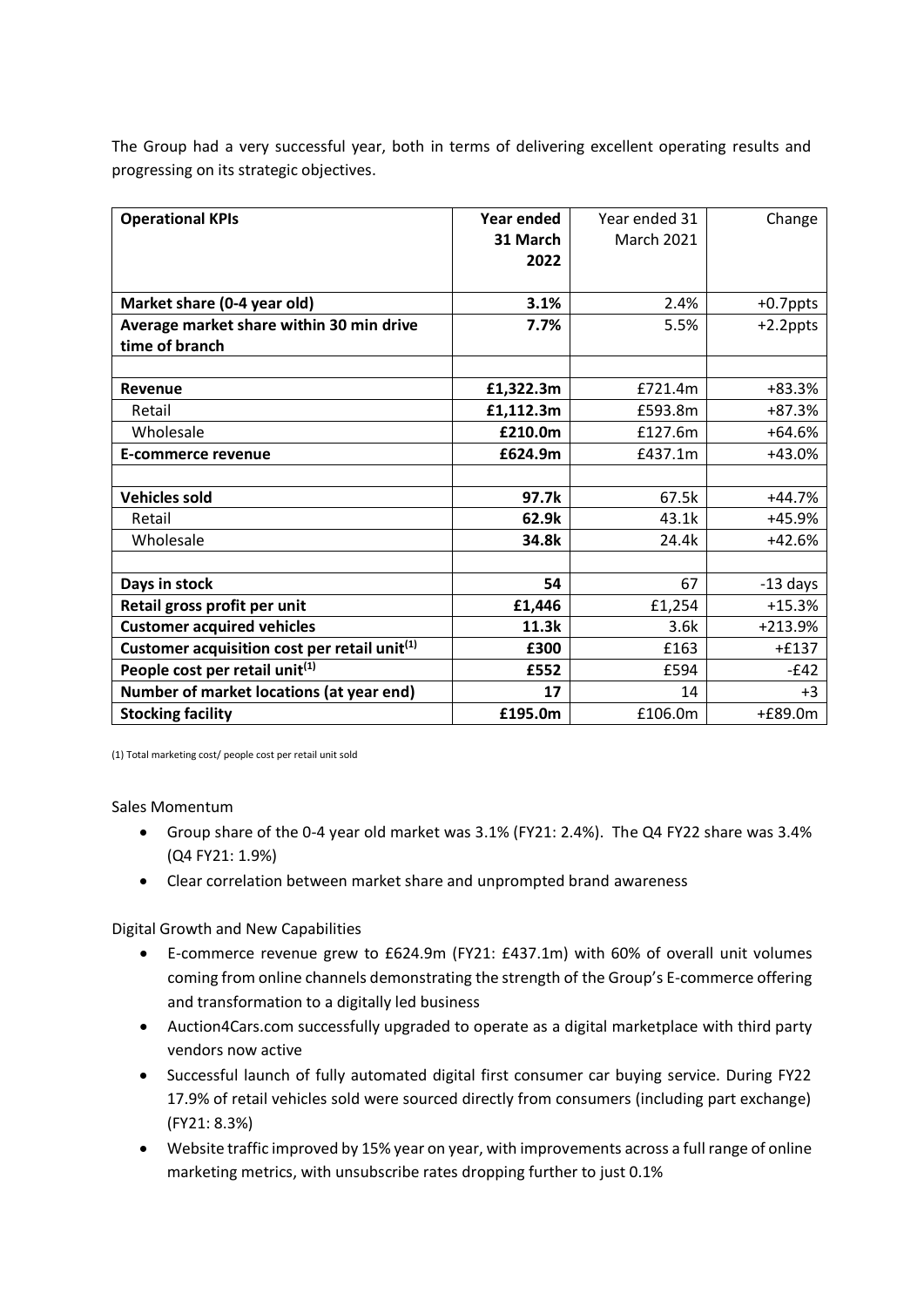The Group had a very successful year, both in terms of delivering excellent operating results and progressing on its strategic objectives.

| <b>Operational KPIs</b>                                  | Year ended<br>31 March<br>2022 | Year ended 31<br><b>March 2021</b> | Change      |
|----------------------------------------------------------|--------------------------------|------------------------------------|-------------|
|                                                          |                                |                                    |             |
| Market share (0-4 year old)                              | 3.1%                           | 2.4%                               | +0.7ppts    |
| Average market share within 30 min drive                 | 7.7%                           | 5.5%                               | $+2.2$ ppts |
| time of branch                                           |                                |                                    |             |
|                                                          |                                |                                    |             |
| Revenue                                                  | £1,322.3m                      | £721.4m                            | $+83.3%$    |
| Retail                                                   | £1,112.3m                      | £593.8m                            | +87.3%      |
| Wholesale                                                | £210.0m                        | £127.6m                            | $+64.6%$    |
| <b>E-commerce revenue</b>                                | £624.9m                        | £437.1m                            | $+43.0%$    |
|                                                          |                                |                                    |             |
| <b>Vehicles sold</b>                                     | 97.7k                          | 67.5k                              | $+44.7%$    |
| Retail                                                   | 62.9k                          | 43.1k                              | +45.9%      |
| Wholesale                                                | 34.8k                          | 24.4k                              | $+42.6%$    |
|                                                          |                                |                                    |             |
| Days in stock                                            | 54                             | 67                                 | $-13$ days  |
| Retail gross profit per unit                             | £1,446                         | £1,254                             | $+15.3%$    |
| <b>Customer acquired vehicles</b>                        | 11.3k                          | 3.6k                               | +213.9%     |
| Customer acquisition cost per retail unit <sup>(1)</sup> | £300                           | £163                               | $+£137$     |
| People cost per retail unit <sup>(1)</sup>               | £552                           | £594                               | $-E42$      |
| Number of market locations (at year end)                 | 17                             | 14                                 | $+3$        |
| <b>Stocking facility</b>                                 | £195.0m                        | £106.0m                            | $+£89.0m$   |

(1) Total marketing cost/ people cost per retail unit sold

Sales Momentum

- Group share of the 0-4 year old market was 3.1% (FY21: 2.4%). The Q4 FY22 share was 3.4% (Q4 FY21: 1.9%)
- Clear correlation between market share and unprompted brand awareness

Digital Growth and New Capabilities

- E-commerce revenue grew to £624.9m (FY21: £437.1m) with 60% of overall unit volumes coming from online channels demonstrating the strength of the Group's E-commerce offering and transformation to a digitally led business
- Auction4Cars.com successfully upgraded to operate as a digital marketplace with third party vendors now active
- Successful launch of fully automated digital first consumer car buying service. During FY22 17.9% of retail vehicles sold were sourced directly from consumers (including part exchange) (FY21: 8.3%)
- Website traffic improved by 15% year on year, with improvements across a full range of online marketing metrics, with unsubscribe rates dropping further to just 0.1%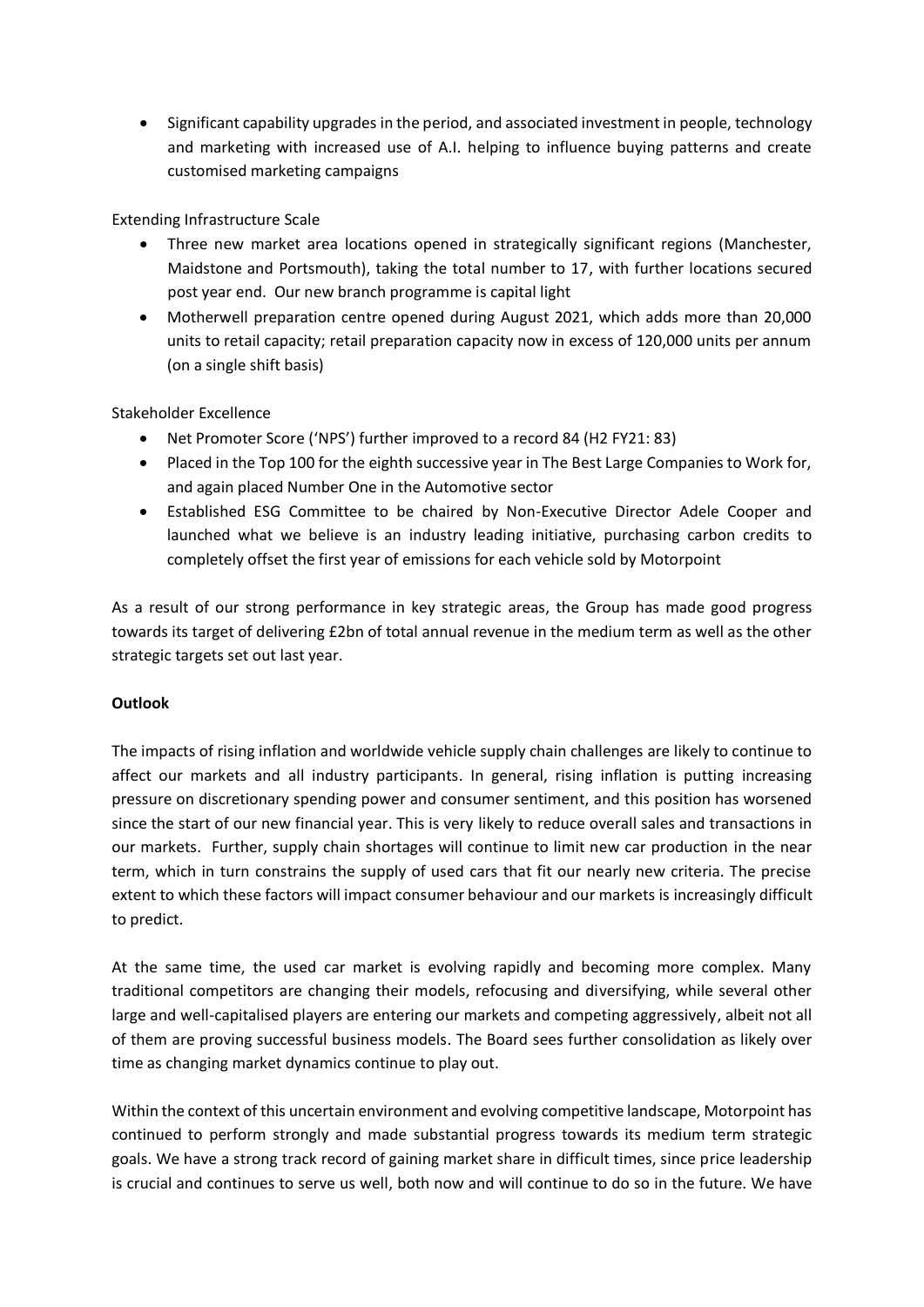• Significant capability upgrades in the period, and associated investment in people, technology and marketing with increased use of A.I. helping to influence buying patterns and create customised marketing campaigns

Extending Infrastructure Scale

- Three new market area locations opened in strategically significant regions (Manchester, Maidstone and Portsmouth), taking the total number to 17, with further locations secured post year end. Our new branch programme is capital light
- Motherwell preparation centre opened during August 2021, which adds more than 20,000 units to retail capacity; retail preparation capacity now in excess of 120,000 units per annum (on a single shift basis)

Stakeholder Excellence

- Net Promoter Score ('NPS') further improved to a record 84 (H2 FY21: 83)
- Placed in the Top 100 for the eighth successive year in The Best Large Companies to Work for, and again placed Number One in the Automotive sector
- Established ESG Committee to be chaired by Non-Executive Director Adele Cooper and launched what we believe is an industry leading initiative, purchasing carbon credits to completely offset the first year of emissions for each vehicle sold by Motorpoint

As a result of our strong performance in key strategic areas, the Group has made good progress towards its target of delivering £2bn of total annual revenue in the medium term as well as the other strategic targets set out last year.

# **Outlook**

The impacts of rising inflation and worldwide vehicle supply chain challenges are likely to continue to affect our markets and all industry participants. In general, rising inflation is putting increasing pressure on discretionary spending power and consumer sentiment, and this position has worsened since the start of our new financial year. This is very likely to reduce overall sales and transactions in our markets. Further, supply chain shortages will continue to limit new car production in the near term, which in turn constrains the supply of used cars that fit our nearly new criteria. The precise extent to which these factors will impact consumer behaviour and our markets is increasingly difficult to predict.

At the same time, the used car market is evolving rapidly and becoming more complex. Many traditional competitors are changing their models, refocusing and diversifying, while several other large and well-capitalised players are entering our markets and competing aggressively, albeit not all of them are proving successful business models. The Board sees further consolidation as likely over time as changing market dynamics continue to play out.

Within the context of this uncertain environment and evolving competitive landscape, Motorpoint has continued to perform strongly and made substantial progress towards its medium term strategic goals. We have a strong track record of gaining market share in difficult times, since price leadership is crucial and continues to serve us well, both now and will continue to do so in the future. We have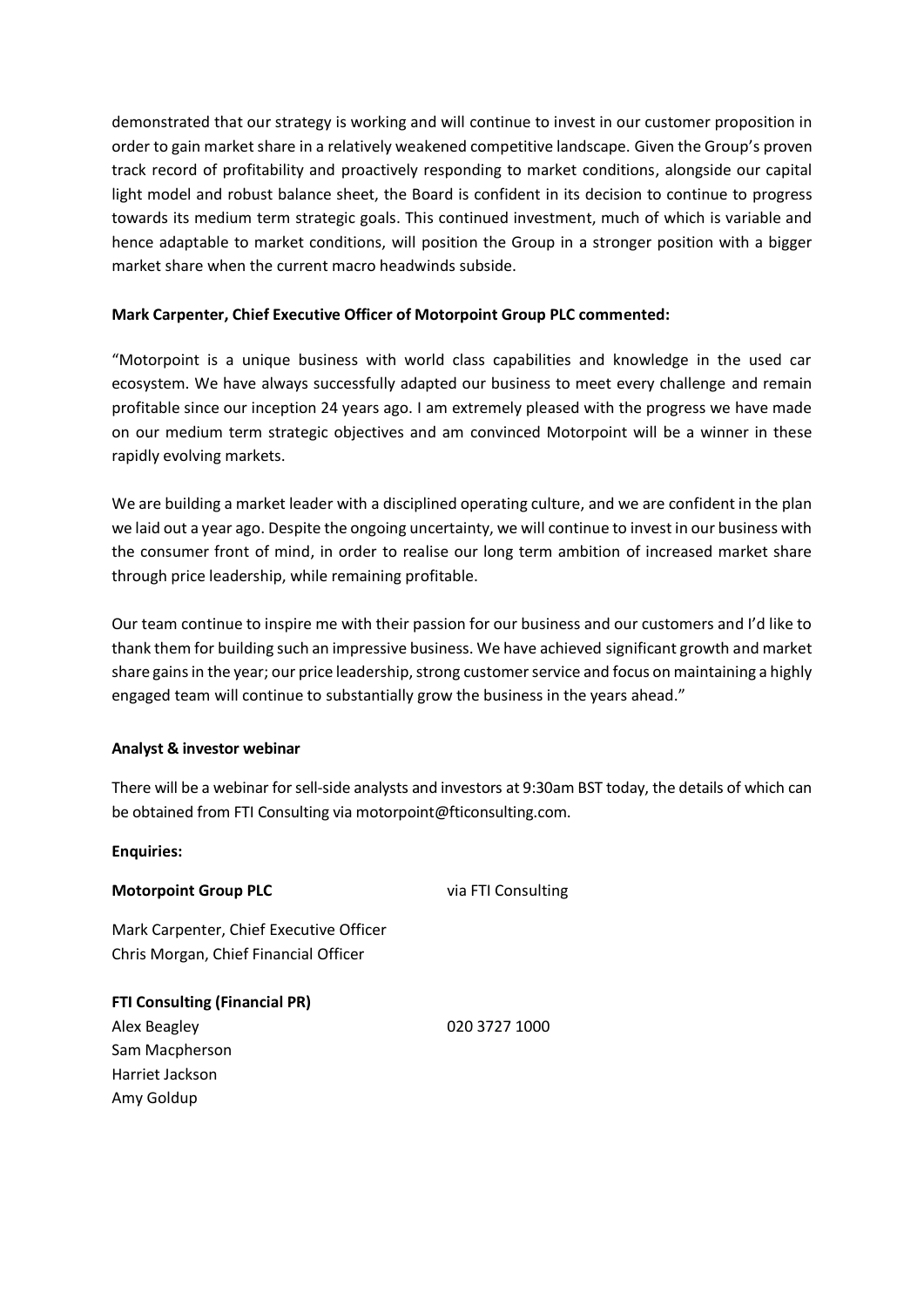demonstrated that our strategy is working and will continue to invest in our customer proposition in order to gain market share in a relatively weakened competitive landscape. Given the Group's proven track record of profitability and proactively responding to market conditions, alongside our capital light model and robust balance sheet, the Board is confident in its decision to continue to progress towards its medium term strategic goals. This continued investment, much of which is variable and hence adaptable to market conditions, will position the Group in a stronger position with a bigger market share when the current macro headwinds subside.

# **Mark Carpenter, Chief Executive Officer of Motorpoint Group PLC commented:**

"Motorpoint is a unique business with world class capabilities and knowledge in the used car ecosystem. We have always successfully adapted our business to meet every challenge and remain profitable since our inception 24 years ago. I am extremely pleased with the progress we have made on our medium term strategic objectives and am convinced Motorpoint will be a winner in these rapidly evolving markets.

We are building a market leader with a disciplined operating culture, and we are confident in the plan we laid out a year ago. Despite the ongoing uncertainty, we will continue to invest in our business with the consumer front of mind, in order to realise our long term ambition of increased market share through price leadership, while remaining profitable.

Our team continue to inspire me with their passion for our business and our customers and I'd like to thank them for building such an impressive business. We have achieved significant growth and market share gains in the year; our price leadership, strong customer service and focus on maintaining a highly engaged team will continue to substantially grow the business in the years ahead."

# **Analyst & investor webinar**

There will be a webinar for sell-side analysts and investors at 9:30am BST today, the details of which can be obtained from FTI Consulting via motorpoint@fticonsulting.com.

# **Enquiries:**

# **Motorpoint Group PLC** via FTI Consulting

Mark Carpenter, Chief Executive Officer Chris Morgan, Chief Financial Officer

**FTI Consulting (Financial PR)** Alex Beagley 020 3727 1000 Sam Macpherson Harriet Jackson Amy Goldup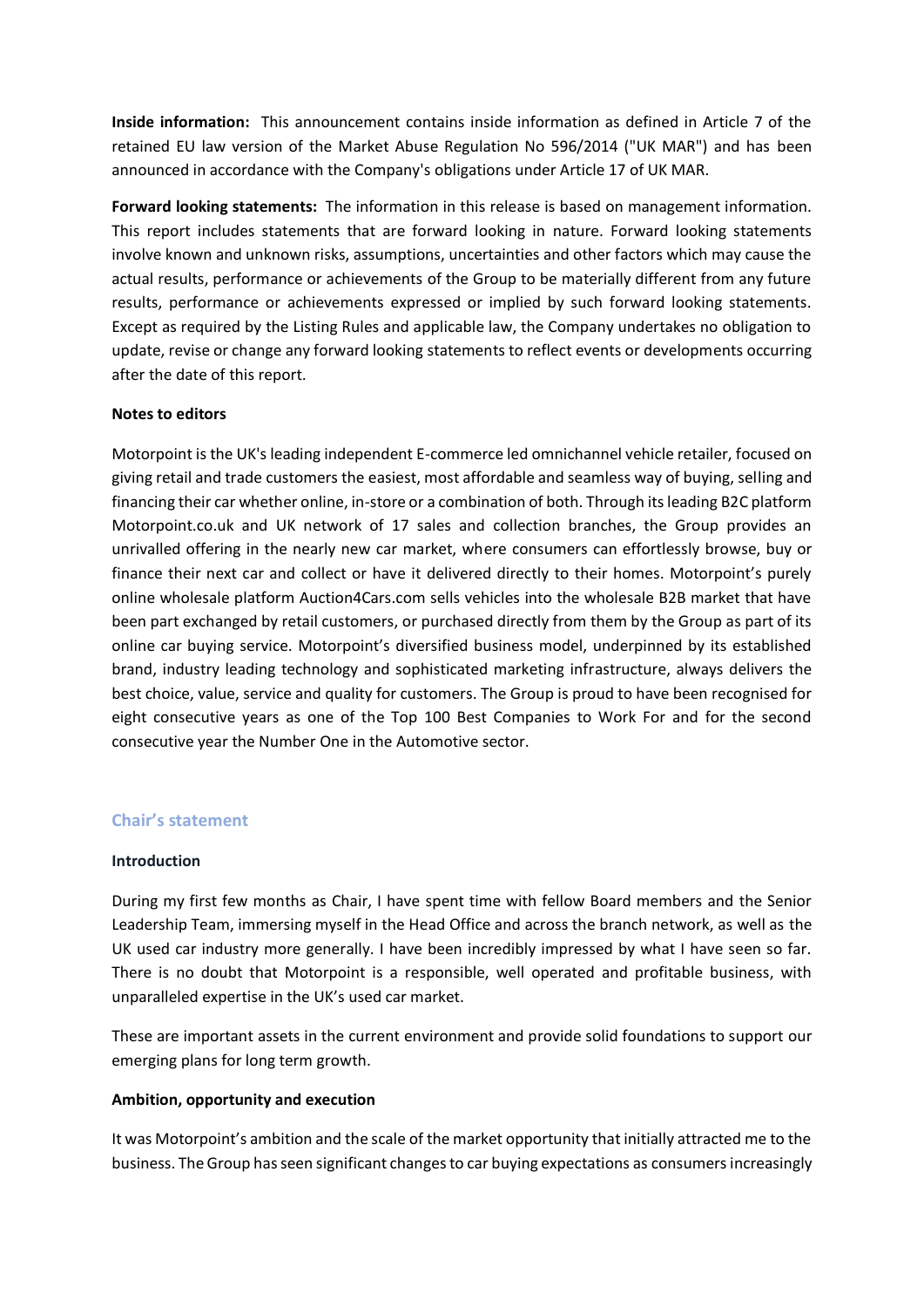**Inside information:** This announcement contains inside information as defined in Article 7 of the retained EU law version of the Market Abuse Regulation No 596/2014 ("UK MAR") and has been announced in accordance with the Company's obligations under Article 17 of UK MAR.

**Forward looking statements:** The information in this release is based on management information. This report includes statements that are forward looking in nature. Forward looking statements involve known and unknown risks, assumptions, uncertainties and other factors which may cause the actual results, performance or achievements of the Group to be materially different from any future results, performance or achievements expressed or implied by such forward looking statements. Except as required by the Listing Rules and applicable law, the Company undertakes no obligation to update, revise or change any forward looking statements to reflect events or developments occurring after the date of this report.

# **Notes to editors**

Motorpoint is the UK's leading independent E-commerce led omnichannel vehicle retailer, focused on giving retail and trade customers the easiest, most affordable and seamless way of buying, selling and financing their car whether online, in-store or a combination of both. Through its leading B2C platform Motorpoint.co.uk and UK network of 17 sales and collection branches, the Group provides an unrivalled offering in the nearly new car market, where consumers can effortlessly browse, buy or finance their next car and collect or have it delivered directly to their homes. Motorpoint's purely online wholesale platform Auction4Cars.com sells vehicles into the wholesale B2B market that have been part exchanged by retail customers, or purchased directly from them by the Group as part of its online car buying service. Motorpoint's diversified business model, underpinned by its established brand, industry leading technology and sophisticated marketing infrastructure, always delivers the best choice, value, service and quality for customers. The Group is proud to have been recognised for eight consecutive years as one of the Top 100 Best Companies to Work For and for the second consecutive year the Number One in the Automotive sector.

# **Chair's statement**

# **Introduction**

During my first few months as Chair, I have spent time with fellow Board members and the Senior Leadership Team, immersing myself in the Head Office and across the branch network, as well as the UK used car industry more generally. I have been incredibly impressed by what I have seen so far. There is no doubt that Motorpoint is a responsible, well operated and profitable business, with unparalleled expertise in the UK's used car market.

These are important assets in the current environment and provide solid foundations to support our emerging plans for long term growth.

# **Ambition, opportunity and execution**

It was Motorpoint's ambition and the scale of the market opportunity that initially attracted me to the business. The Group has seen significant changes to car buying expectations as consumersincreasingly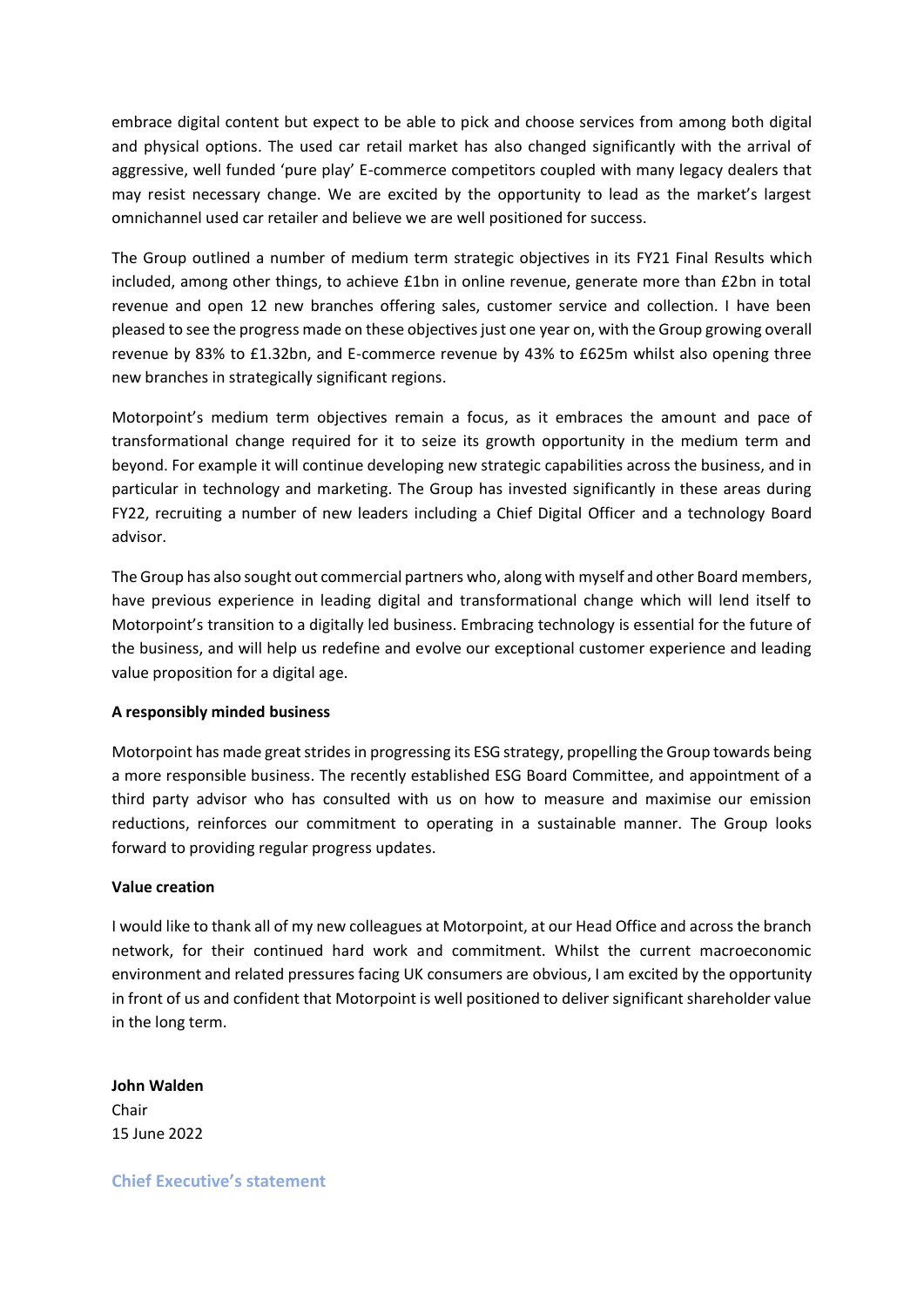embrace digital content but expect to be able to pick and choose services from among both digital and physical options. The used car retail market has also changed significantly with the arrival of aggressive, well funded 'pure play' E-commerce competitors coupled with many legacy dealers that may resist necessary change. We are excited by the opportunity to lead as the market's largest omnichannel used car retailer and believe we are well positioned for success.

The Group outlined a number of medium term strategic objectives in its FY21 Final Results which included, among other things, to achieve £1bn in online revenue, generate more than £2bn in total revenue and open 12 new branches offering sales, customer service and collection. I have been pleased to see the progress made on these objectives just one year on, with the Group growing overall revenue by 83% to £1.32bn, and E-commerce revenue by 43% to £625m whilst also opening three new branches in strategically significant regions.

Motorpoint's medium term objectives remain a focus, as it embraces the amount and pace of transformational change required for it to seize its growth opportunity in the medium term and beyond. For example it will continue developing new strategic capabilities across the business, and in particular in technology and marketing. The Group has invested significantly in these areas during FY22, recruiting a number of new leaders including a Chief Digital Officer and a technology Board advisor.

The Group has also sought out commercial partners who, along with myself and other Board members, have previous experience in leading digital and transformational change which will lend itself to Motorpoint's transition to a digitally led business. Embracing technology is essential for the future of the business, and will help us redefine and evolve our exceptional customer experience and leading value proposition for a digital age.

# **A responsibly minded business**

Motorpoint has made great strides in progressing its ESG strategy, propelling the Group towards being a more responsible business. The recently established ESG Board Committee, and appointment of a third party advisor who has consulted with us on how to measure and maximise our emission reductions, reinforces our commitment to operating in a sustainable manner. The Group looks forward to providing regular progress updates.

# **Value creation**

I would like to thank all of my new colleagues at Motorpoint, at our Head Office and across the branch network, for their continued hard work and commitment. Whilst the current macroeconomic environment and related pressures facing UK consumers are obvious, I am excited by the opportunity in front of us and confident that Motorpoint is well positioned to deliver significant shareholder value in the long term.

**John Walden** Chair 15 June 2022

**Chief Executive's statement**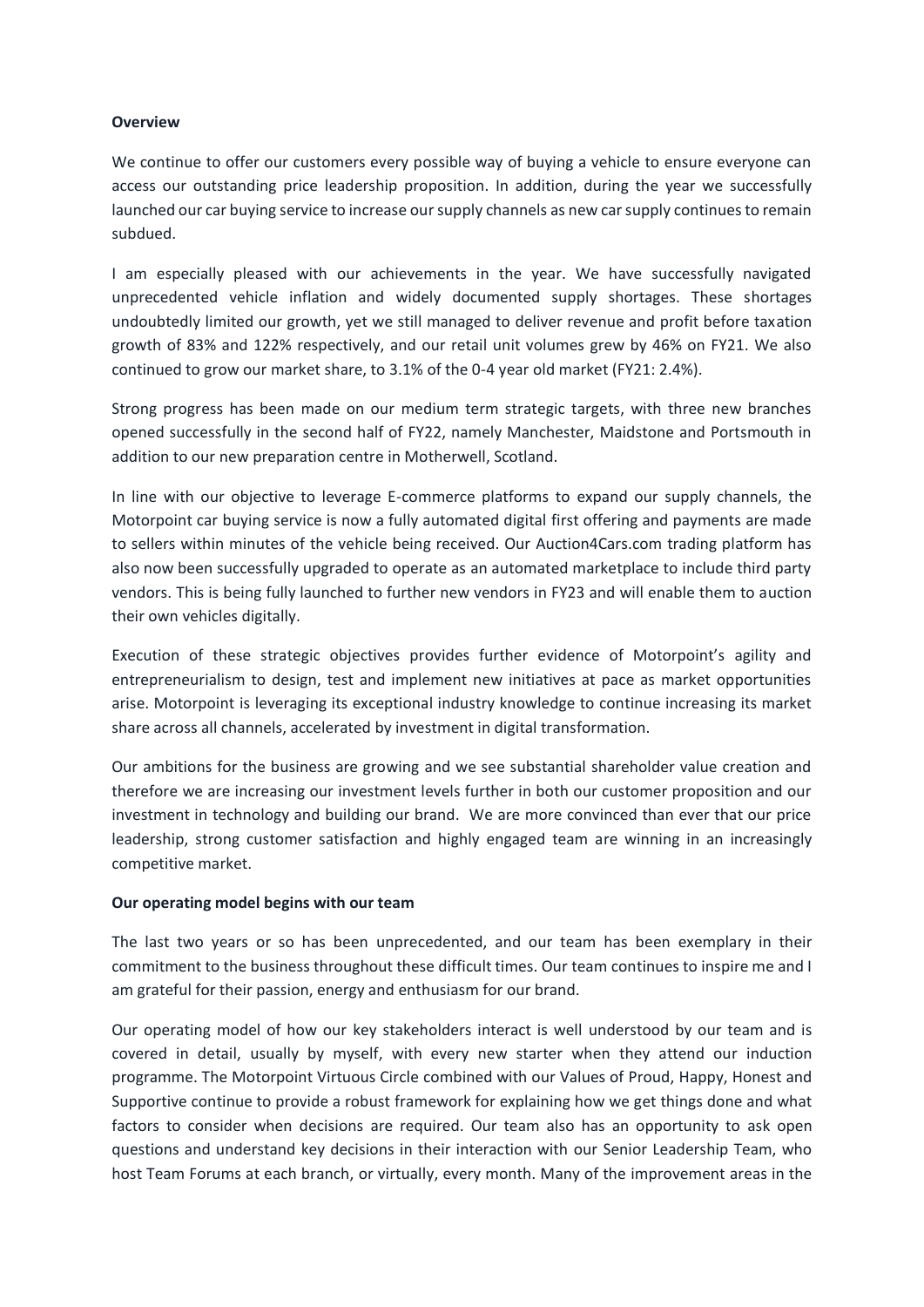#### **Overview**

We continue to offer our customers every possible way of buying a vehicle to ensure everyone can access our outstanding price leadership proposition. In addition, during the year we successfully launched our car buying service to increase our supply channels as new car supply continues to remain subdued.

I am especially pleased with our achievements in the year. We have successfully navigated unprecedented vehicle inflation and widely documented supply shortages. These shortages undoubtedly limited our growth, yet we still managed to deliver revenue and profit before taxation growth of 83% and 122% respectively, and our retail unit volumes grew by 46% on FY21. We also continued to grow our market share, to 3.1% of the 0-4 year old market (FY21: 2.4%).

Strong progress has been made on our medium term strategic targets, with three new branches opened successfully in the second half of FY22, namely Manchester, Maidstone and Portsmouth in addition to our new preparation centre in Motherwell, Scotland.

In line with our objective to leverage E-commerce platforms to expand our supply channels, the Motorpoint car buying service is now a fully automated digital first offering and payments are made to sellers within minutes of the vehicle being received. Our Auction4Cars.com trading platform has also now been successfully upgraded to operate as an automated marketplace to include third party vendors. This is being fully launched to further new vendors in FY23 and will enable them to auction their own vehicles digitally.

Execution of these strategic objectives provides further evidence of Motorpoint's agility and entrepreneurialism to design, test and implement new initiatives at pace as market opportunities arise. Motorpoint is leveraging its exceptional industry knowledge to continue increasing its market share across all channels, accelerated by investment in digital transformation.

Our ambitions for the business are growing and we see substantial shareholder value creation and therefore we are increasing our investment levels further in both our customer proposition and our investment in technology and building our brand. We are more convinced than ever that our price leadership, strong customer satisfaction and highly engaged team are winning in an increasingly competitive market.

# **Our operating model begins with our team**

The last two years or so has been unprecedented, and our team has been exemplary in their commitment to the business throughout these difficult times. Our team continues to inspire me and I am grateful for their passion, energy and enthusiasm for our brand.

Our operating model of how our key stakeholders interact is well understood by our team and is covered in detail, usually by myself, with every new starter when they attend our induction programme. The Motorpoint Virtuous Circle combined with our Values of Proud, Happy, Honest and Supportive continue to provide a robust framework for explaining how we get things done and what factors to consider when decisions are required. Our team also has an opportunity to ask open questions and understand key decisions in their interaction with our Senior Leadership Team, who host Team Forums at each branch, or virtually, every month. Many of the improvement areas in the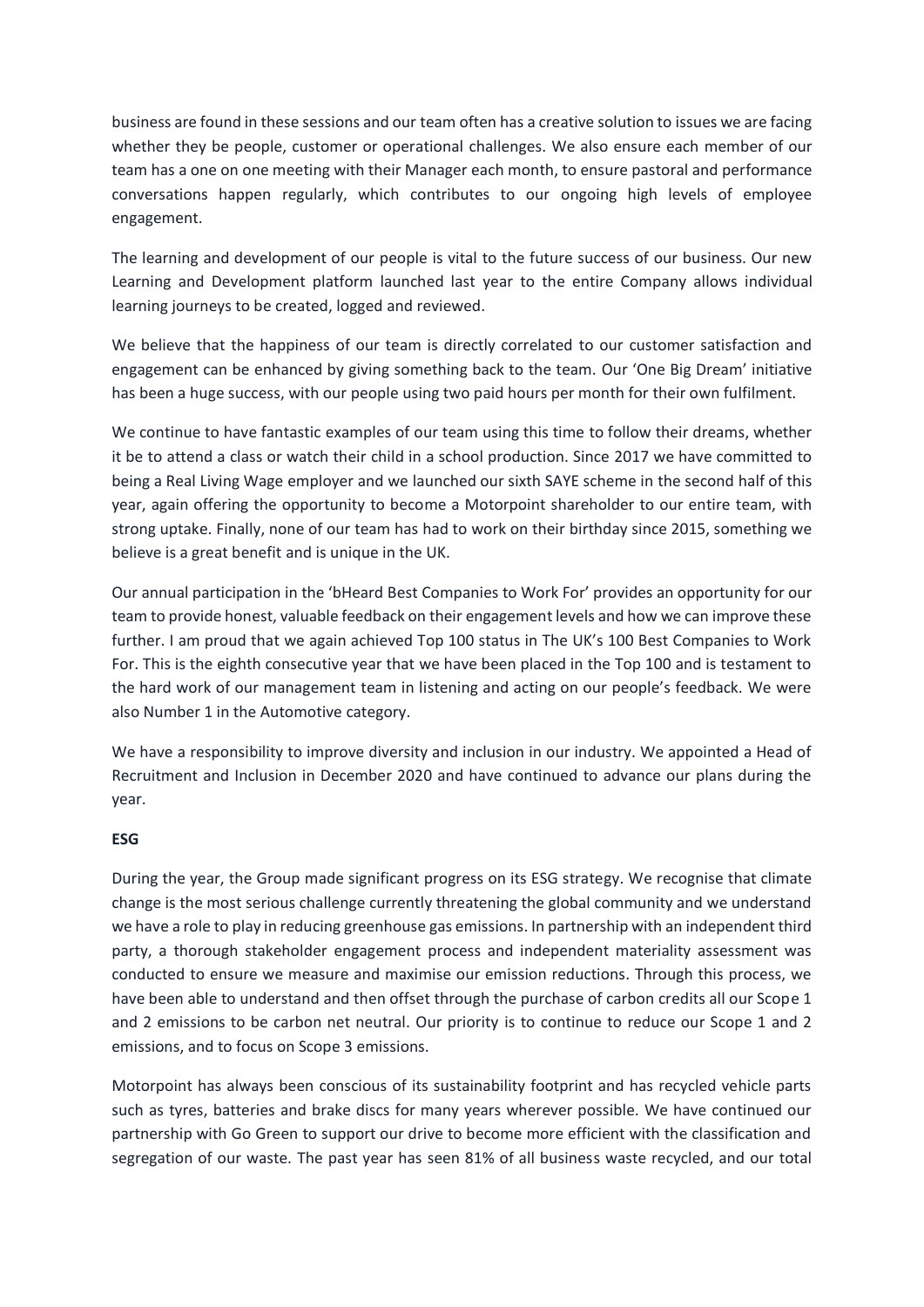business are found in these sessions and our team often has a creative solution to issues we are facing whether they be people, customer or operational challenges. We also ensure each member of our team has a one on one meeting with their Manager each month, to ensure pastoral and performance conversations happen regularly, which contributes to our ongoing high levels of employee engagement.

The learning and development of our people is vital to the future success of our business. Our new Learning and Development platform launched last year to the entire Company allows individual learning journeys to be created, logged and reviewed.

We believe that the happiness of our team is directly correlated to our customer satisfaction and engagement can be enhanced by giving something back to the team. Our 'One Big Dream' initiative has been a huge success, with our people using two paid hours per month for their own fulfilment.

We continue to have fantastic examples of our team using this time to follow their dreams, whether it be to attend a class or watch their child in a school production. Since 2017 we have committed to being a Real Living Wage employer and we launched our sixth SAYE scheme in the second half of this year, again offering the opportunity to become a Motorpoint shareholder to our entire team, with strong uptake. Finally, none of our team has had to work on their birthday since 2015, something we believe is a great benefit and is unique in the UK.

Our annual participation in the 'bHeard Best Companies to Work For' provides an opportunity for our team to provide honest, valuable feedback on their engagement levels and how we can improve these further. I am proud that we again achieved Top 100 status in The UK's 100 Best Companies to Work For. This is the eighth consecutive year that we have been placed in the Top 100 and is testament to the hard work of our management team in listening and acting on our people's feedback. We were also Number 1 in the Automotive category.

We have a responsibility to improve diversity and inclusion in our industry. We appointed a Head of Recruitment and Inclusion in December 2020 and have continued to advance our plans during the year.

# **ESG**

During the year, the Group made significant progress on its ESG strategy. We recognise that climate change is the most serious challenge currently threatening the global community and we understand we have a role to play in reducing greenhouse gas emissions. In partnership with an independent third party, a thorough stakeholder engagement process and independent materiality assessment was conducted to ensure we measure and maximise our emission reductions. Through this process, we have been able to understand and then offset through the purchase of carbon credits all our Scope 1 and 2 emissions to be carbon net neutral. Our priority is to continue to reduce our Scope 1 and 2 emissions, and to focus on Scope 3 emissions.

Motorpoint has always been conscious of its sustainability footprint and has recycled vehicle parts such as tyres, batteries and brake discs for many years wherever possible. We have continued our partnership with Go Green to support our drive to become more efficient with the classification and segregation of our waste. The past year has seen 81% of all business waste recycled, and our total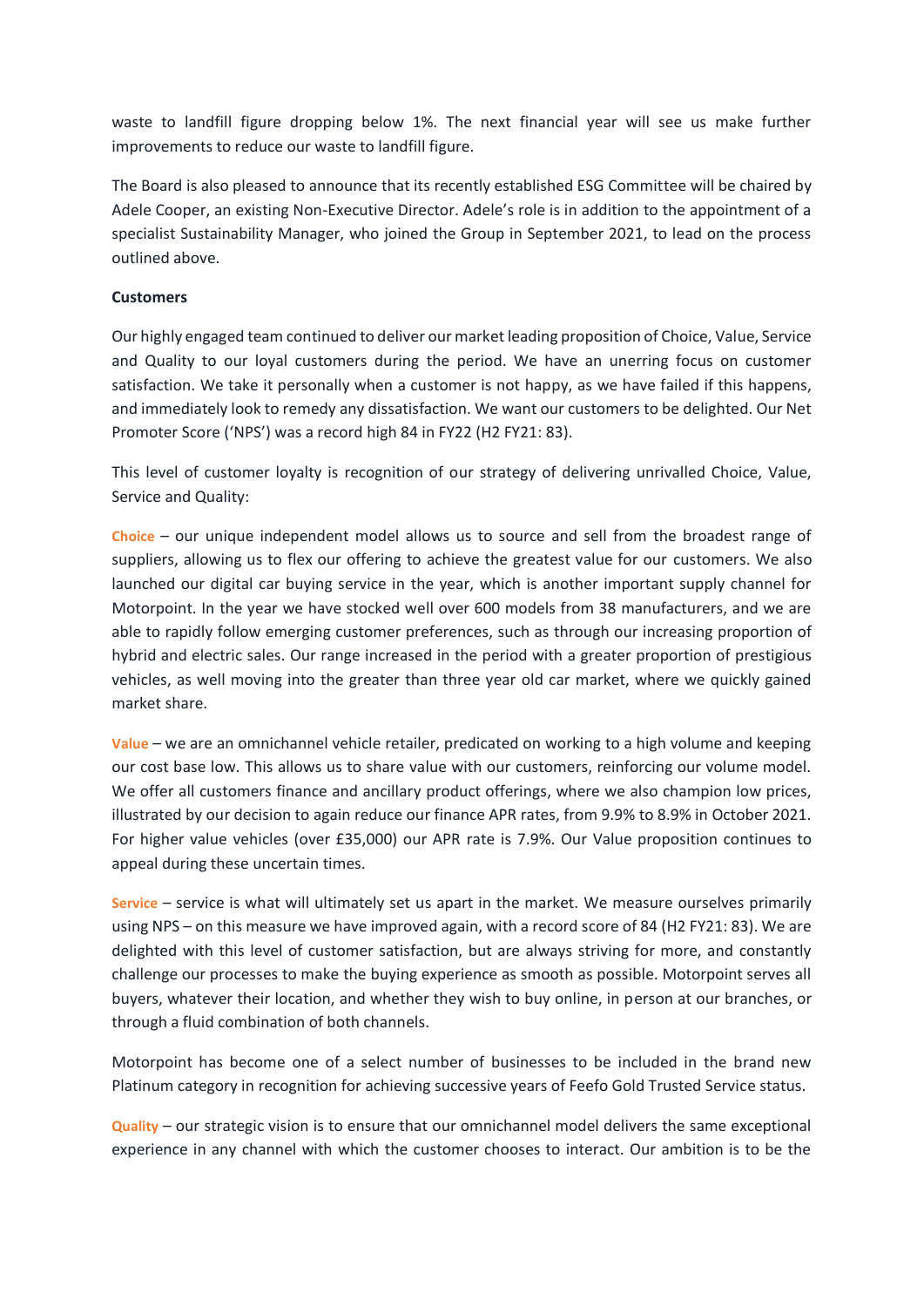waste to landfill figure dropping below 1%. The next financial year will see us make further improvements to reduce our waste to landfill figure.

The Board is also pleased to announce that its recently established ESG Committee will be chaired by Adele Cooper, an existing Non-Executive Director. Adele's role is in addition to the appointment of a specialist Sustainability Manager, who joined the Group in September 2021, to lead on the process outlined above.

# **Customers**

Our highly engaged team continued to deliver our market leading proposition of Choice, Value, Service and Quality to our loyal customers during the period. We have an unerring focus on customer satisfaction. We take it personally when a customer is not happy, as we have failed if this happens, and immediately look to remedy any dissatisfaction. We want our customers to be delighted. Our Net Promoter Score ('NPS') was a record high 84 in FY22 (H2 FY21: 83).

This level of customer loyalty is recognition of our strategy of delivering unrivalled Choice, Value, Service and Quality:

**Choice** – our unique independent model allows us to source and sell from the broadest range of suppliers, allowing us to flex our offering to achieve the greatest value for our customers. We also launched our digital car buying service in the year, which is another important supply channel for Motorpoint. In the year we have stocked well over 600 models from 38 manufacturers, and we are able to rapidly follow emerging customer preferences, such as through our increasing proportion of hybrid and electric sales. Our range increased in the period with a greater proportion of prestigious vehicles, as well moving into the greater than three year old car market, where we quickly gained market share.

**Value** – we are an omnichannel vehicle retailer, predicated on working to a high volume and keeping our cost base low. This allows us to share value with our customers, reinforcing our volume model. We offer all customers finance and ancillary product offerings, where we also champion low prices, illustrated by our decision to again reduce our finance APR rates, from 9.9% to 8.9% in October 2021. For higher value vehicles (over £35,000) our APR rate is 7.9%. Our Value proposition continues to appeal during these uncertain times.

**Service** – service is what will ultimately set us apart in the market. We measure ourselves primarily using NPS – on this measure we have improved again, with a record score of 84 (H2 FY21: 83). We are delighted with this level of customer satisfaction, but are always striving for more, and constantly challenge our processes to make the buying experience as smooth as possible. Motorpoint serves all buyers, whatever their location, and whether they wish to buy online, in person at our branches, or through a fluid combination of both channels.

Motorpoint has become one of a select number of businesses to be included in the brand new Platinum category in recognition for achieving successive years of Feefo Gold Trusted Service status.

**Quality** – our strategic vision is to ensure that our omnichannel model delivers the same exceptional experience in any channel with which the customer chooses to interact. Our ambition is to be the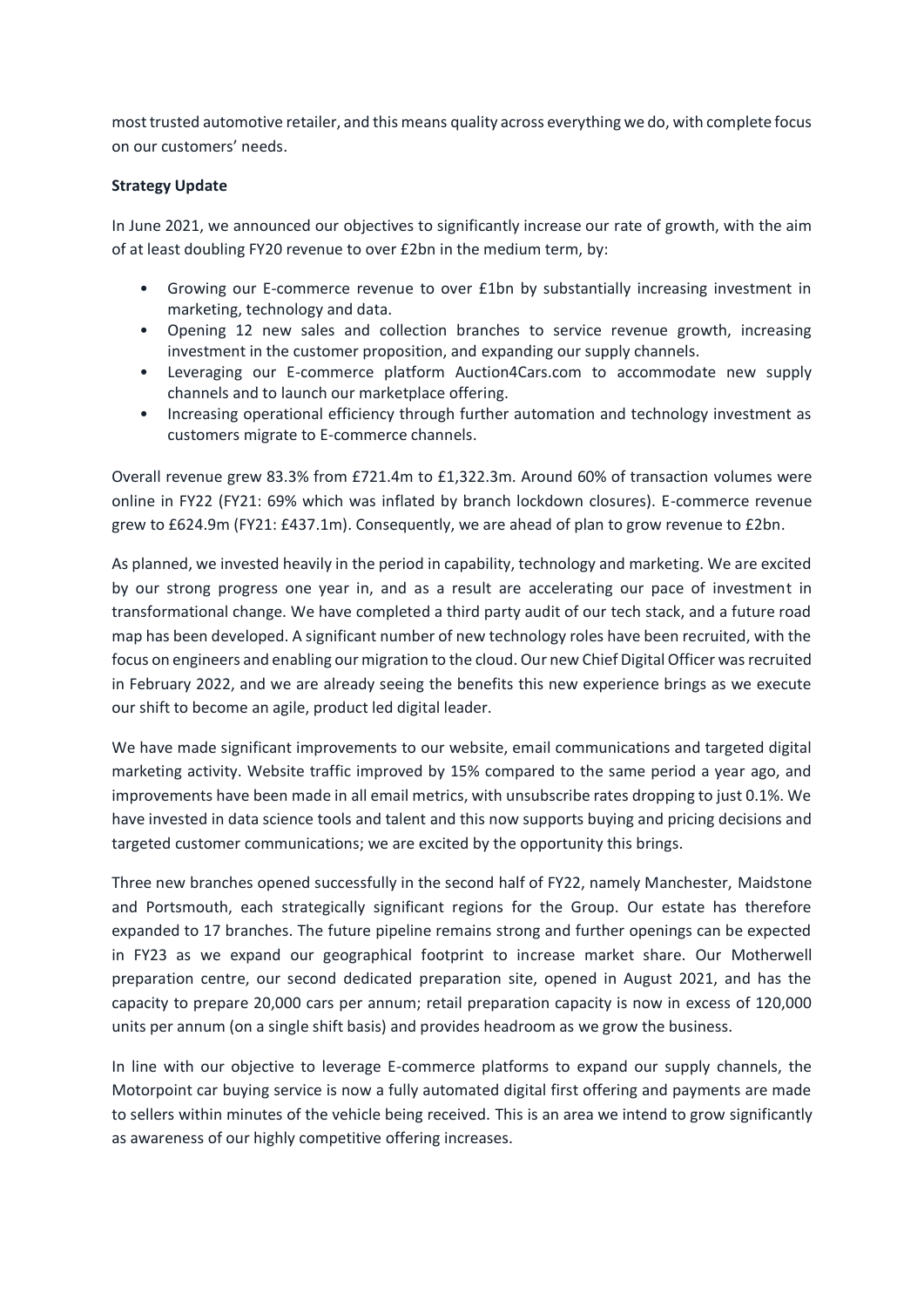most trusted automotive retailer, and this means quality across everything we do, with complete focus on our customers' needs.

# **Strategy Update**

In June 2021, we announced our objectives to significantly increase our rate of growth, with the aim of at least doubling FY20 revenue to over £2bn in the medium term, by:

- Growing our E-commerce revenue to over £1bn by substantially increasing investment in marketing, technology and data.
- Opening 12 new sales and collection branches to service revenue growth, increasing investment in the customer proposition, and expanding our supply channels.
- Leveraging our E-commerce platform Auction4Cars.com to accommodate new supply channels and to launch our marketplace offering.
- Increasing operational efficiency through further automation and technology investment as customers migrate to E-commerce channels.

Overall revenue grew 83.3% from £721.4m to £1,322.3m. Around 60% of transaction volumes were online in FY22 (FY21: 69% which was inflated by branch lockdown closures). E-commerce revenue grew to £624.9m (FY21: £437.1m). Consequently, we are ahead of plan to grow revenue to £2bn.

As planned, we invested heavily in the period in capability, technology and marketing. We are excited by our strong progress one year in, and as a result are accelerating our pace of investment in transformational change. We have completed a third party audit of our tech stack, and a future road map has been developed. A significant number of new technology roles have been recruited, with the focus on engineers and enabling our migration to the cloud. Our new Chief Digital Officer was recruited in February 2022, and we are already seeing the benefits this new experience brings as we execute our shift to become an agile, product led digital leader.

We have made significant improvements to our website, email communications and targeted digital marketing activity. Website traffic improved by 15% compared to the same period a year ago, and improvements have been made in all email metrics, with unsubscribe rates dropping to just 0.1%. We have invested in data science tools and talent and this now supports buying and pricing decisions and targeted customer communications; we are excited by the opportunity this brings.

Three new branches opened successfully in the second half of FY22, namely Manchester, Maidstone and Portsmouth, each strategically significant regions for the Group. Our estate has therefore expanded to 17 branches. The future pipeline remains strong and further openings can be expected in FY23 as we expand our geographical footprint to increase market share. Our Motherwell preparation centre, our second dedicated preparation site, opened in August 2021, and has the capacity to prepare 20,000 cars per annum; retail preparation capacity is now in excess of 120,000 units per annum (on a single shift basis) and provides headroom as we grow the business.

In line with our objective to leverage E-commerce platforms to expand our supply channels, the Motorpoint car buying service is now a fully automated digital first offering and payments are made to sellers within minutes of the vehicle being received. This is an area we intend to grow significantly as awareness of our highly competitive offering increases.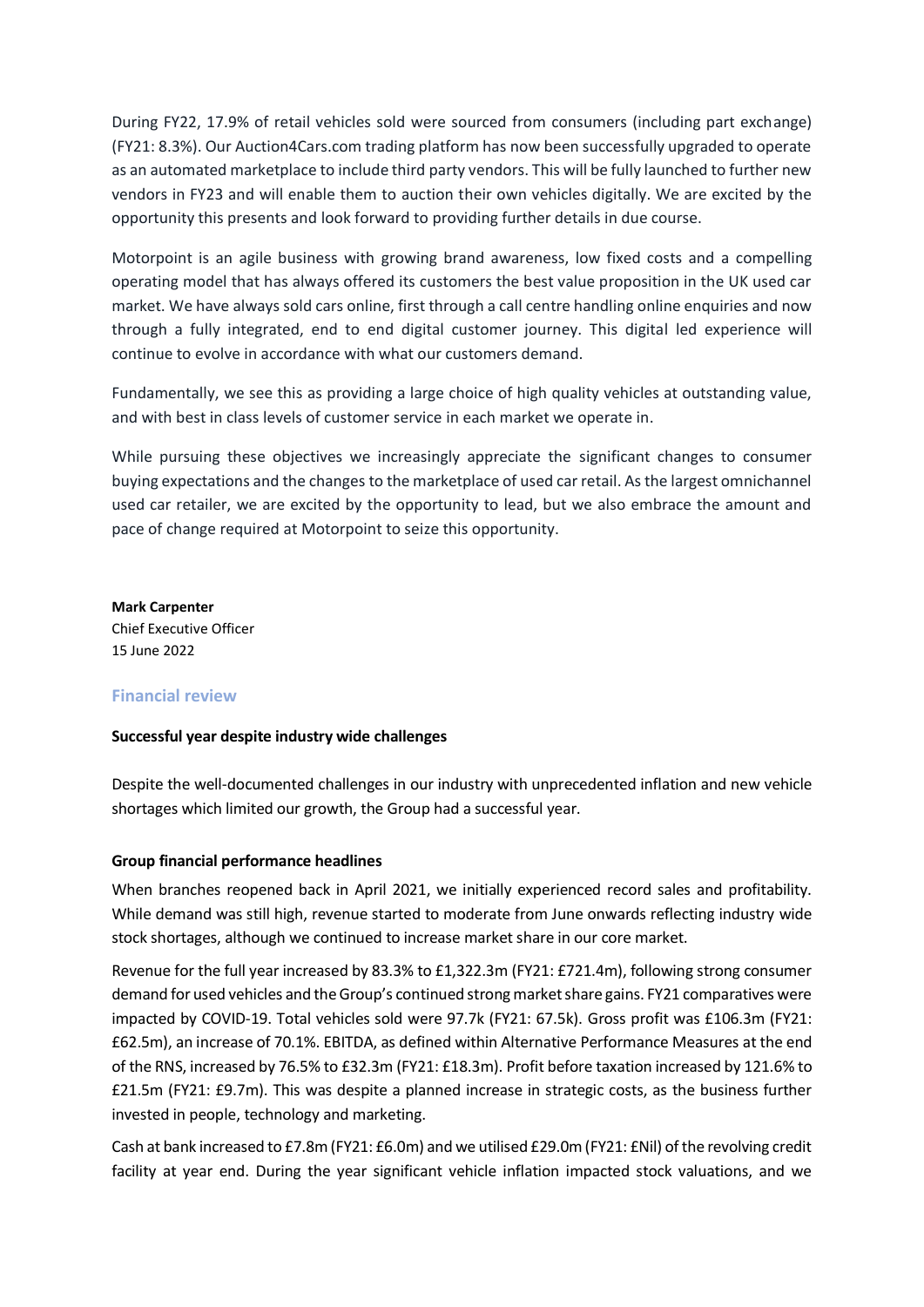During FY22, 17.9% of retail vehicles sold were sourced from consumers (including part exchange) (FY21: 8.3%). Our Auction4Cars.com trading platform has now been successfully upgraded to operate as an automated marketplace to include third party vendors. This will be fully launched to further new vendors in FY23 and will enable them to auction their own vehicles digitally. We are excited by the opportunity this presents and look forward to providing further details in due course.

Motorpoint is an agile business with growing brand awareness, low fixed costs and a compelling operating model that has always offered its customers the best value proposition in the UK used car market. We have always sold cars online, first through a call centre handling online enquiries and now through a fully integrated, end to end digital customer journey. This digital led experience will continue to evolve in accordance with what our customers demand.

Fundamentally, we see this as providing a large choice of high quality vehicles at outstanding value, and with best in class levels of customer service in each market we operate in.

While pursuing these objectives we increasingly appreciate the significant changes to consumer buying expectations and the changes to the marketplace of used car retail. As the largest omnichannel used car retailer, we are excited by the opportunity to lead, but we also embrace the amount and pace of change required at Motorpoint to seize this opportunity.

**Mark Carpenter** Chief Executive Officer 15 June 2022

# **Financial review**

# **Successful year despite industry wide challenges**

Despite the well-documented challenges in our industry with unprecedented inflation and new vehicle shortages which limited our growth, the Group had a successful year.

# **Group financial performance headlines**

When branches reopened back in April 2021, we initially experienced record sales and profitability. While demand was still high, revenue started to moderate from June onwards reflecting industry wide stock shortages, although we continued to increase market share in our core market.

Revenue for the full year increased by 83.3% to £1,322.3m (FY21: £721.4m), following strong consumer demand for used vehicles and the Group's continued strong market share gains. FY21 comparatives were impacted by COVID-19. Total vehicles sold were 97.7k (FY21: 67.5k). Gross profit was £106.3m (FY21: £62.5m), an increase of 70.1%. EBITDA, as defined within Alternative Performance Measures at the end of the RNS, increased by 76.5% to £32.3m (FY21: £18.3m). Profit before taxation increased by 121.6% to £21.5m (FY21: £9.7m). This was despite a planned increase in strategic costs, as the business further invested in people, technology and marketing.

Cash at bank increased to £7.8m (FY21: £6.0m) and we utilised £29.0m (FY21: £Nil) of the revolving credit facility at year end. During the year significant vehicle inflation impacted stock valuations, and we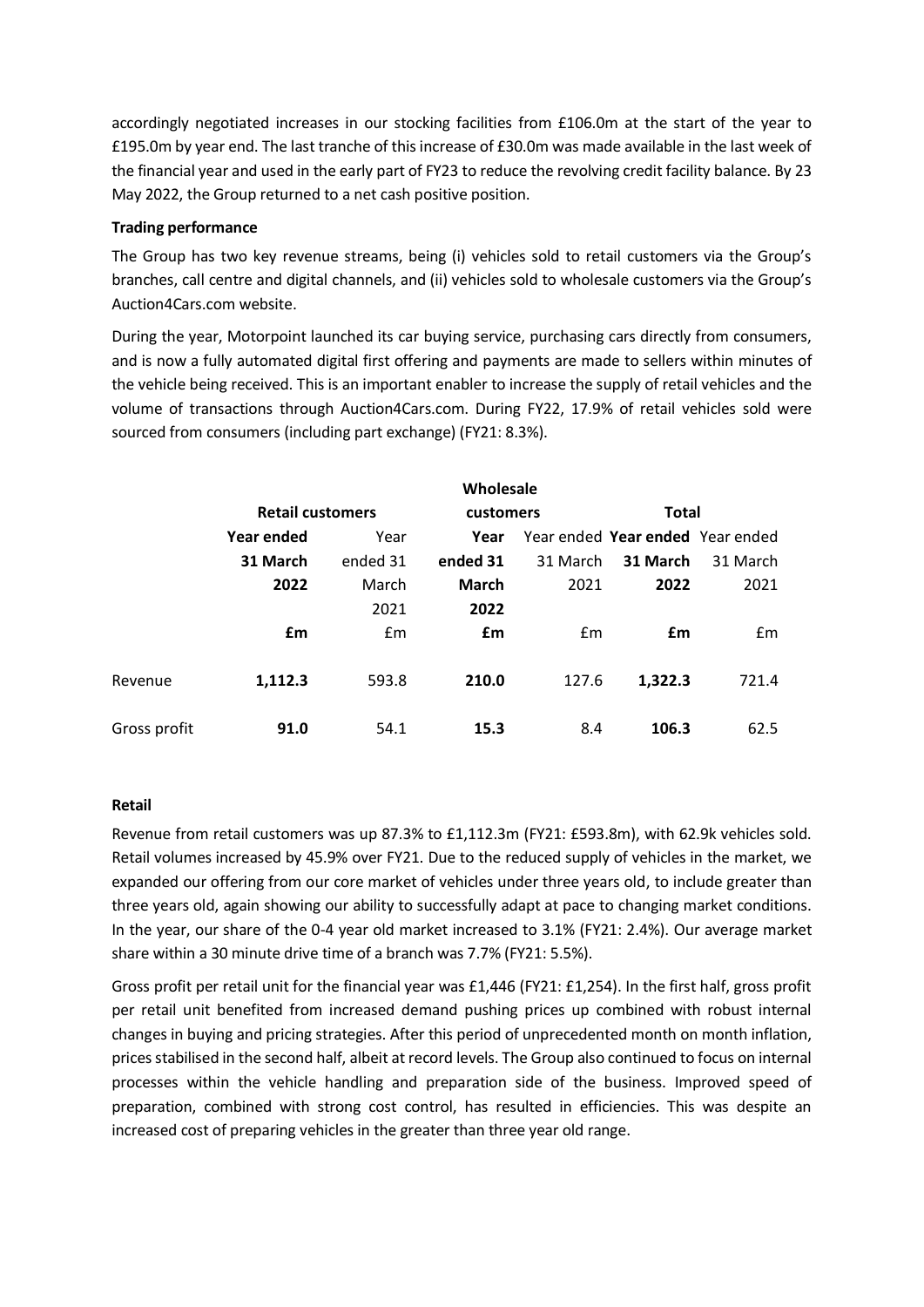accordingly negotiated increases in our stocking facilities from £106.0m at the start of the year to £195.0m by year end. The last tranche of this increase of £30.0m was made available in the last week of the financial year and used in the early part of FY23 to reduce the revolving credit facility balance. By 23 May 2022, the Group returned to a net cash positive position.

# **Trading performance**

The Group has two key revenue streams, being (i) vehicles sold to retail customers via the Group's branches, call centre and digital channels, and (ii) vehicles sold to wholesale customers via the Group's Auction4Cars.com website.

During the year, Motorpoint launched its car buying service, purchasing cars directly from consumers, and is now a fully automated digital first offering and payments are made to sellers within minutes of the vehicle being received. This is an important enabler to increase the supply of retail vehicles and the volume of transactions through Auction4Cars.com. During FY22, 17.9% of retail vehicles sold were sourced from consumers (including part exchange) (FY21: 8.3%).

|              |                         |               | Wholesale |                                  |              |          |  |
|--------------|-------------------------|---------------|-----------|----------------------------------|--------------|----------|--|
|              | <b>Retail customers</b> |               | customers |                                  | <b>Total</b> |          |  |
|              | Year ended              | Year          | Year      | Year ended Year ended Year ended |              |          |  |
|              | 31 March                | ended 31      | ended 31  | 31 March                         | 31 March     | 31 March |  |
|              | 2022                    | March         | March     | 2021                             | 2022         | 2021     |  |
|              |                         | 2021          | 2022      |                                  |              |          |  |
|              | £m                      | $\mathsf{fm}$ | £m        | Em                               | £m           | Em       |  |
|              |                         |               |           |                                  |              |          |  |
| Revenue      | 1,112.3                 | 593.8         | 210.0     | 127.6                            | 1,322.3      | 721.4    |  |
|              |                         |               |           |                                  |              |          |  |
| Gross profit | 91.0                    | 54.1          | 15.3      | 8.4                              | 106.3        | 62.5     |  |

# **Retail**

Revenue from retail customers was up 87.3% to £1,112.3m (FY21: £593.8m), with 62.9k vehicles sold. Retail volumes increased by 45.9% over FY21. Due to the reduced supply of vehicles in the market, we expanded our offering from our core market of vehicles under three years old, to include greater than three years old, again showing our ability to successfully adapt at pace to changing market conditions. In the year, our share of the 0-4 year old market increased to 3.1% (FY21: 2.4%). Our average market share within a 30 minute drive time of a branch was 7.7% (FY21: 5.5%).

Gross profit per retail unit for the financial year was £1,446 (FY21: £1,254). In the first half, gross profit per retail unit benefited from increased demand pushing prices up combined with robust internal changes in buying and pricing strategies. After this period of unprecedented month on month inflation, prices stabilised in the second half, albeit at record levels. The Group also continued to focus on internal processes within the vehicle handling and preparation side of the business. Improved speed of preparation, combined with strong cost control, has resulted in efficiencies. This was despite an increased cost of preparing vehicles in the greater than three year old range.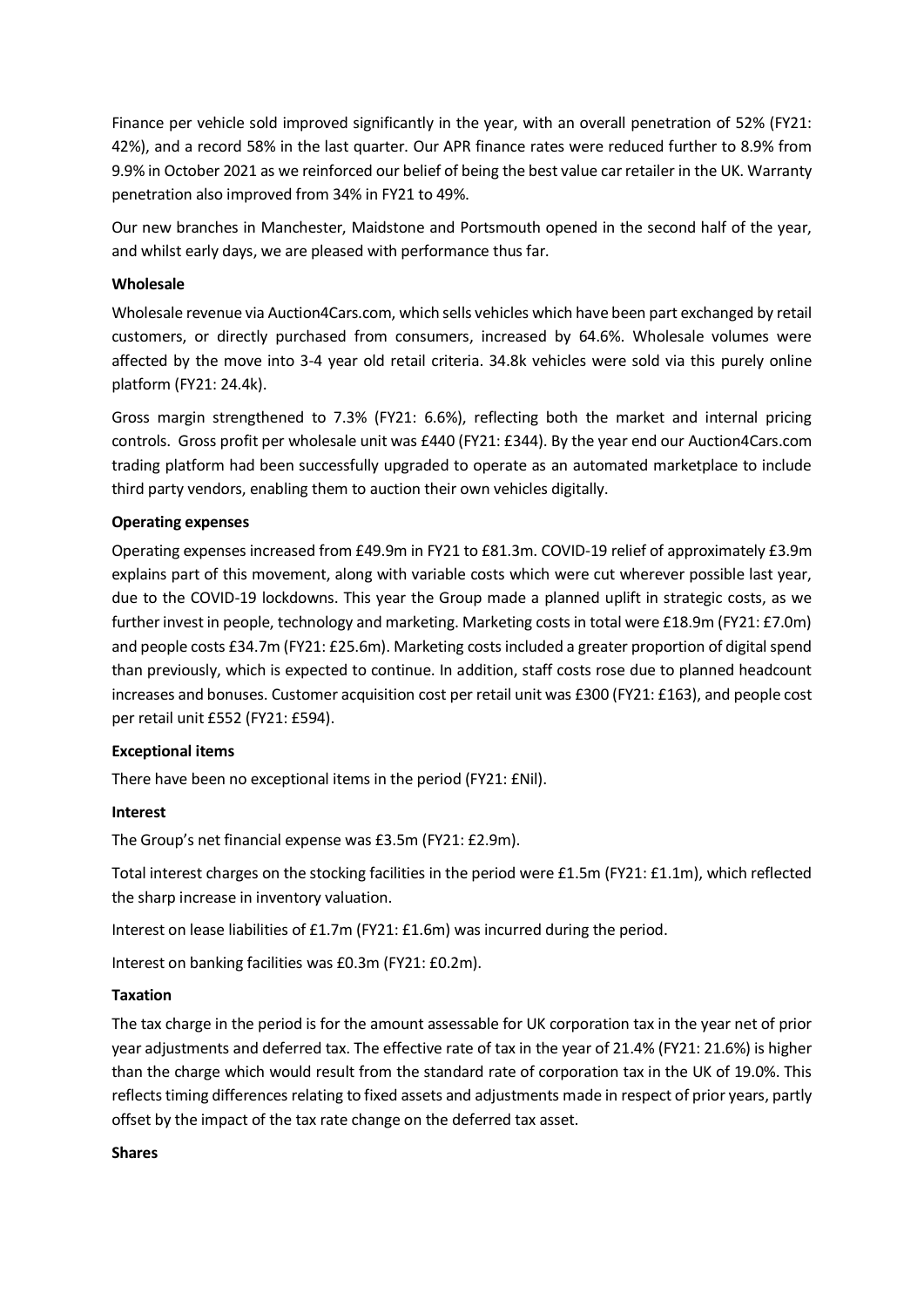Finance per vehicle sold improved significantly in the year, with an overall penetration of 52% (FY21: 42%), and a record 58% in the last quarter. Our APR finance rates were reduced further to 8.9% from 9.9% in October 2021 as we reinforced our belief of being the best value car retailer in the UK. Warranty penetration also improved from 34% in FY21 to 49%.

Our new branches in Manchester, Maidstone and Portsmouth opened in the second half of the year, and whilst early days, we are pleased with performance thus far.

# **Wholesale**

Wholesale revenue via Auction4Cars.com, which sells vehicles which have been part exchanged by retail customers, or directly purchased from consumers, increased by 64.6%. Wholesale volumes were affected by the move into 3-4 year old retail criteria. 34.8k vehicles were sold via this purely online platform (FY21: 24.4k).

Gross margin strengthened to 7.3% (FY21: 6.6%), reflecting both the market and internal pricing controls. Gross profit per wholesale unit was £440 (FY21: £344). By the year end our Auction4Cars.com trading platform had been successfully upgraded to operate as an automated marketplace to include third party vendors, enabling them to auction their own vehicles digitally.

# **Operating expenses**

Operating expenses increased from £49.9m in FY21 to £81.3m. COVID-19 relief of approximately £3.9m explains part of this movement, along with variable costs which were cut wherever possible last year, due to the COVID-19 lockdowns. This year the Group made a planned uplift in strategic costs, as we further invest in people, technology and marketing. Marketing costs in total were £18.9m (FY21: £7.0m) and people costs £34.7m (FY21: £25.6m). Marketing costs included a greater proportion of digital spend than previously, which is expected to continue. In addition, staff costs rose due to planned headcount increases and bonuses. Customer acquisition cost per retail unit was £300 (FY21: £163), and people cost per retail unit £552 (FY21: £594).

# **Exceptional items**

There have been no exceptional items in the period (FY21: £Nil).

# **Interest**

The Group's net financial expense was £3.5m (FY21: £2.9m).

Total interest charges on the stocking facilities in the period were £1.5m (FY21: £1.1m), which reflected the sharp increase in inventory valuation.

Interest on lease liabilities of £1.7m (FY21: £1.6m) was incurred during the period.

Interest on banking facilities was £0.3m (FY21: £0.2m).

# **Taxation**

The tax charge in the period is for the amount assessable for UK corporation tax in the year net of prior year adjustments and deferred tax. The effective rate of tax in the year of 21.4% (FY21: 21.6%) is higher than the charge which would result from the standard rate of corporation tax in the UK of 19.0%. This reflects timing differences relating to fixed assets and adjustments made in respect of prior years, partly offset by the impact of the tax rate change on the deferred tax asset.

# **Shares**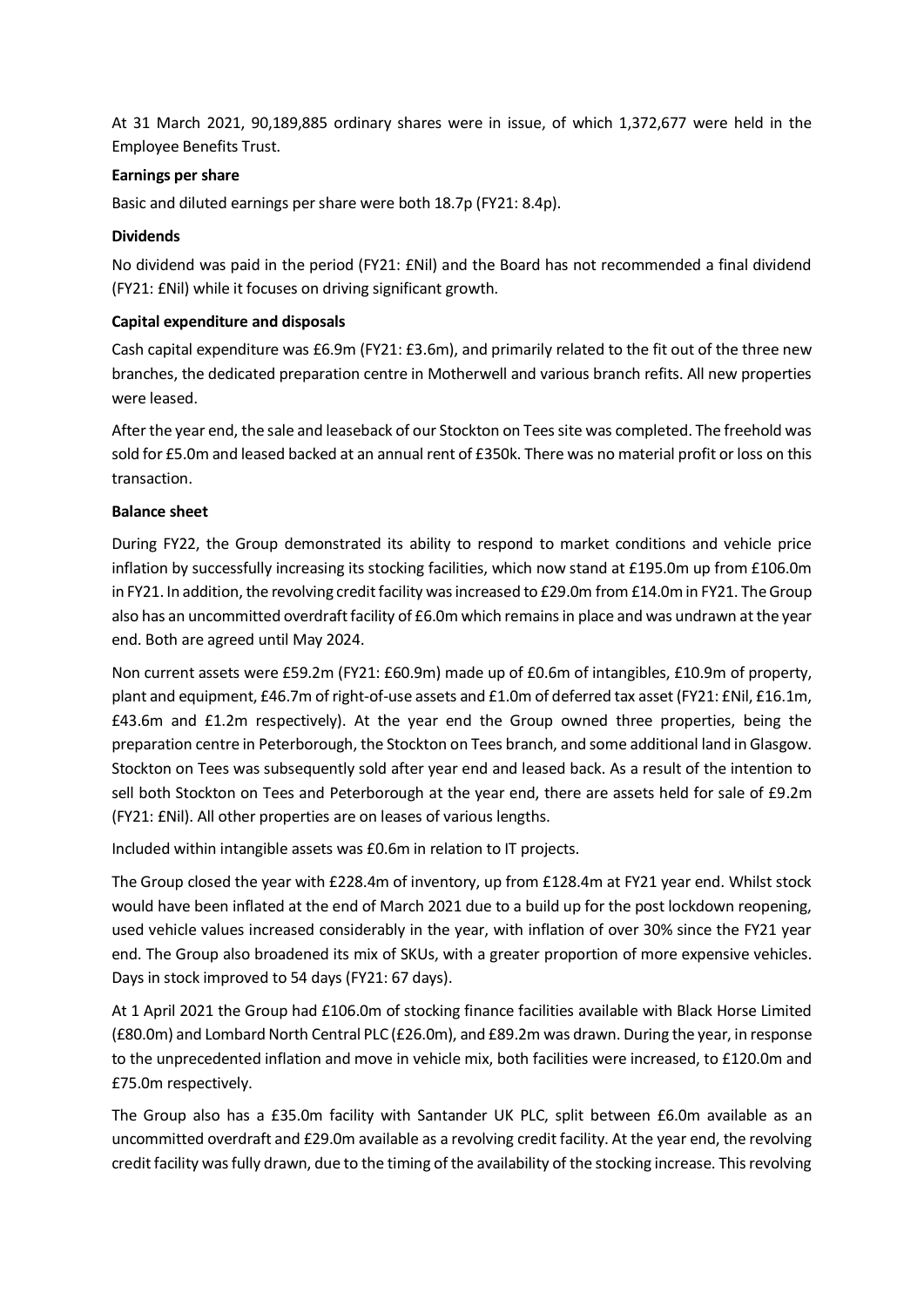At 31 March 2021, 90,189,885 ordinary shares were in issue, of which 1,372,677 were held in the Employee Benefits Trust.

# **Earnings per share**

Basic and diluted earnings per share were both 18.7p (FY21: 8.4p).

# **Dividends**

No dividend was paid in the period (FY21: £Nil) and the Board has not recommended a final dividend (FY21: £Nil) while it focuses on driving significant growth.

# **Capital expenditure and disposals**

Cash capital expenditure was £6.9m (FY21: £3.6m), and primarily related to the fit out of the three new branches, the dedicated preparation centre in Motherwell and various branch refits. All new properties were leased.

After the year end, the sale and leaseback of our Stockton on Tees site was completed. The freehold was sold for £5.0m and leased backed at an annual rent of £350k. There was no material profit or loss on this transaction.

# **Balance sheet**

During FY22, the Group demonstrated its ability to respond to market conditions and vehicle price inflation by successfully increasing its stocking facilities, which now stand at £195.0m up from £106.0m in FY21. In addition, the revolving credit facility was increased to £29.0m from £14.0m in FY21. The Group also has an uncommitted overdraft facility of £6.0m which remains in place and was undrawn at the year end. Both are agreed until May 2024.

Non current assets were £59.2m (FY21: £60.9m) made up of £0.6m of intangibles, £10.9m of property, plant and equipment, £46.7m of right-of-use assets and £1.0m of deferred tax asset (FY21: £Nil, £16.1m, £43.6m and £1.2m respectively). At the year end the Group owned three properties, being the preparation centre in Peterborough, the Stockton on Tees branch, and some additional land in Glasgow. Stockton on Tees was subsequently sold after year end and leased back. As a result of the intention to sell both Stockton on Tees and Peterborough at the year end, there are assets held for sale of £9.2m (FY21: £Nil). All other properties are on leases of various lengths.

Included within intangible assets was £0.6m in relation to IT projects.

The Group closed the year with £228.4m of inventory, up from £128.4m at FY21 year end. Whilst stock would have been inflated at the end of March 2021 due to a build up for the post lockdown reopening, used vehicle values increased considerably in the year, with inflation of over 30% since the FY21 year end. The Group also broadened its mix of SKUs, with a greater proportion of more expensive vehicles. Days in stock improved to 54 days (FY21: 67 days).

At 1 April 2021 the Group had £106.0m of stocking finance facilities available with Black Horse Limited (£80.0m) and Lombard North Central PLC (£26.0m), and £89.2m was drawn. During the year, in response to the unprecedented inflation and move in vehicle mix, both facilities were increased, to £120.0m and £75.0m respectively.

The Group also has a £35.0m facility with Santander UK PLC, split between £6.0m available as an uncommitted overdraft and £29.0m available as a revolving credit facility. At the year end, the revolving credit facility was fully drawn, due to the timing of the availability of the stocking increase. This revolving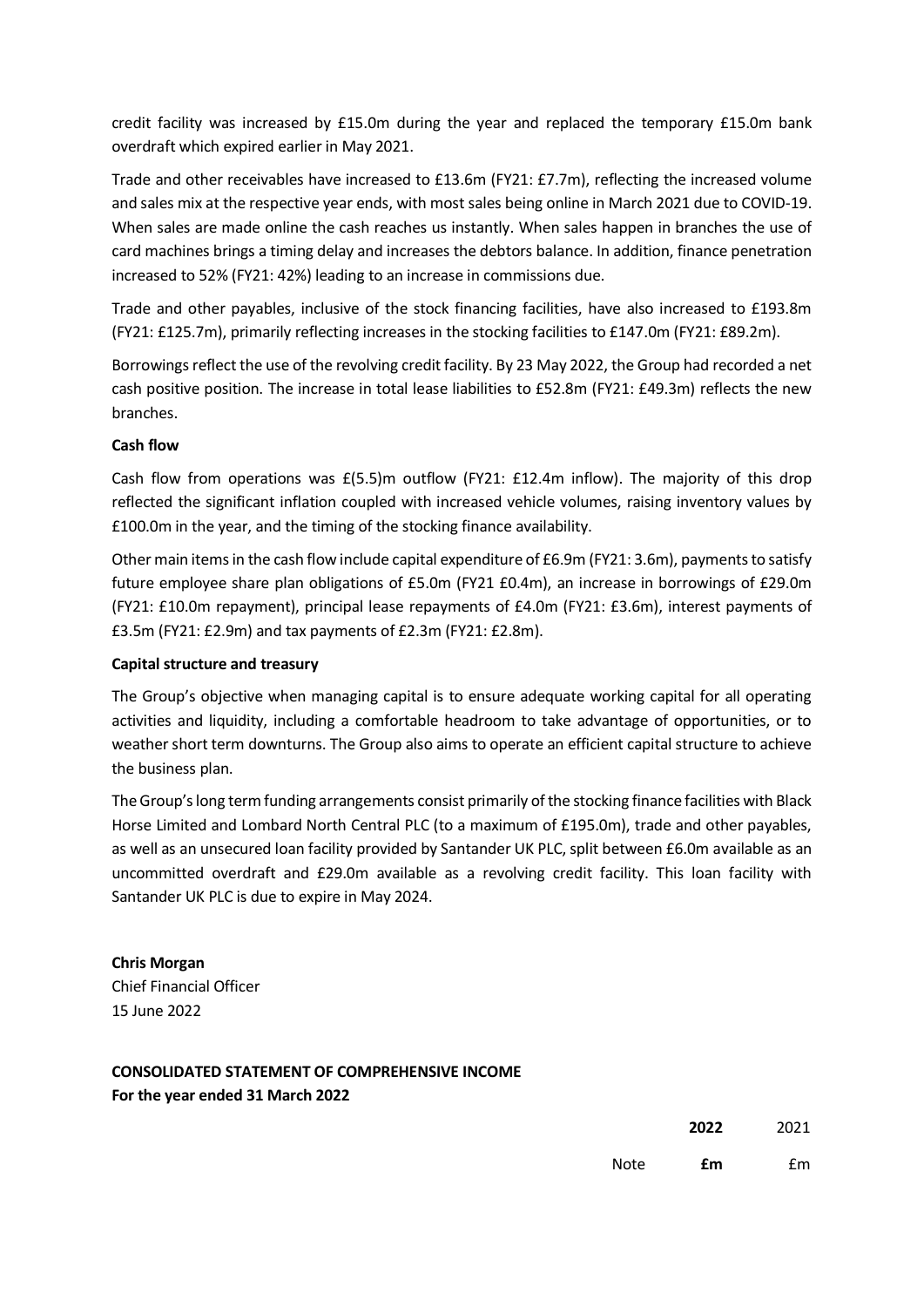credit facility was increased by £15.0m during the year and replaced the temporary £15.0m bank overdraft which expired earlier in May 2021.

Trade and other receivables have increased to £13.6m (FY21: £7.7m), reflecting the increased volume and sales mix at the respective year ends, with mostsales being online in March 2021 due to COVID-19. When sales are made online the cash reaches us instantly. When sales happen in branches the use of card machines brings a timing delay and increases the debtors balance. In addition, finance penetration increased to 52% (FY21: 42%) leading to an increase in commissions due.

Trade and other payables, inclusive of the stock financing facilities, have also increased to £193.8m (FY21: £125.7m), primarily reflecting increases in the stocking facilities to £147.0m (FY21: £89.2m).

Borrowings reflect the use of the revolving credit facility. By 23 May 2022, the Group had recorded a net cash positive position. The increase in total lease liabilities to £52.8m (FY21: £49.3m) reflects the new branches.

# **Cash flow**

Cash flow from operations was  $E(5.5)$ m outflow (FY21: £12.4m inflow). The majority of this drop reflected the significant inflation coupled with increased vehicle volumes, raising inventory values by £100.0m in the year, and the timing of the stocking finance availability.

Other main items in the cash flow include capital expenditure of £6.9m (FY21: 3.6m), payments to satisfy future employee share plan obligations of £5.0m (FY21 £0.4m), an increase in borrowings of £29.0m (FY21: £10.0m repayment), principal lease repayments of £4.0m (FY21: £3.6m), interest payments of £3.5m (FY21: £2.9m) and tax payments of £2.3m (FY21: £2.8m).

# **Capital structure and treasury**

The Group's objective when managing capital is to ensure adequate working capital for all operating activities and liquidity, including a comfortable headroom to take advantage of opportunities, or to weather short term downturns. The Group also aims to operate an efficient capital structure to achieve the business plan.

The Group's long term funding arrangements consist primarily of the stocking finance facilities with Black Horse Limited and Lombard North Central PLC (to a maximum of £195.0m), trade and other payables, as well as an unsecured loan facility provided by Santander UK PLC, split between £6.0m available as an uncommitted overdraft and £29.0m available as a revolving credit facility. This loan facility with Santander UK PLC is due to expire in May 2024.

**Chris Morgan** Chief Financial Officer 15 June 2022

# **CONSOLIDATED STATEMENT OF COMPREHENSIVE INCOME For the year ended 31 March 2022**

**2022** 2021

Note **£m** £m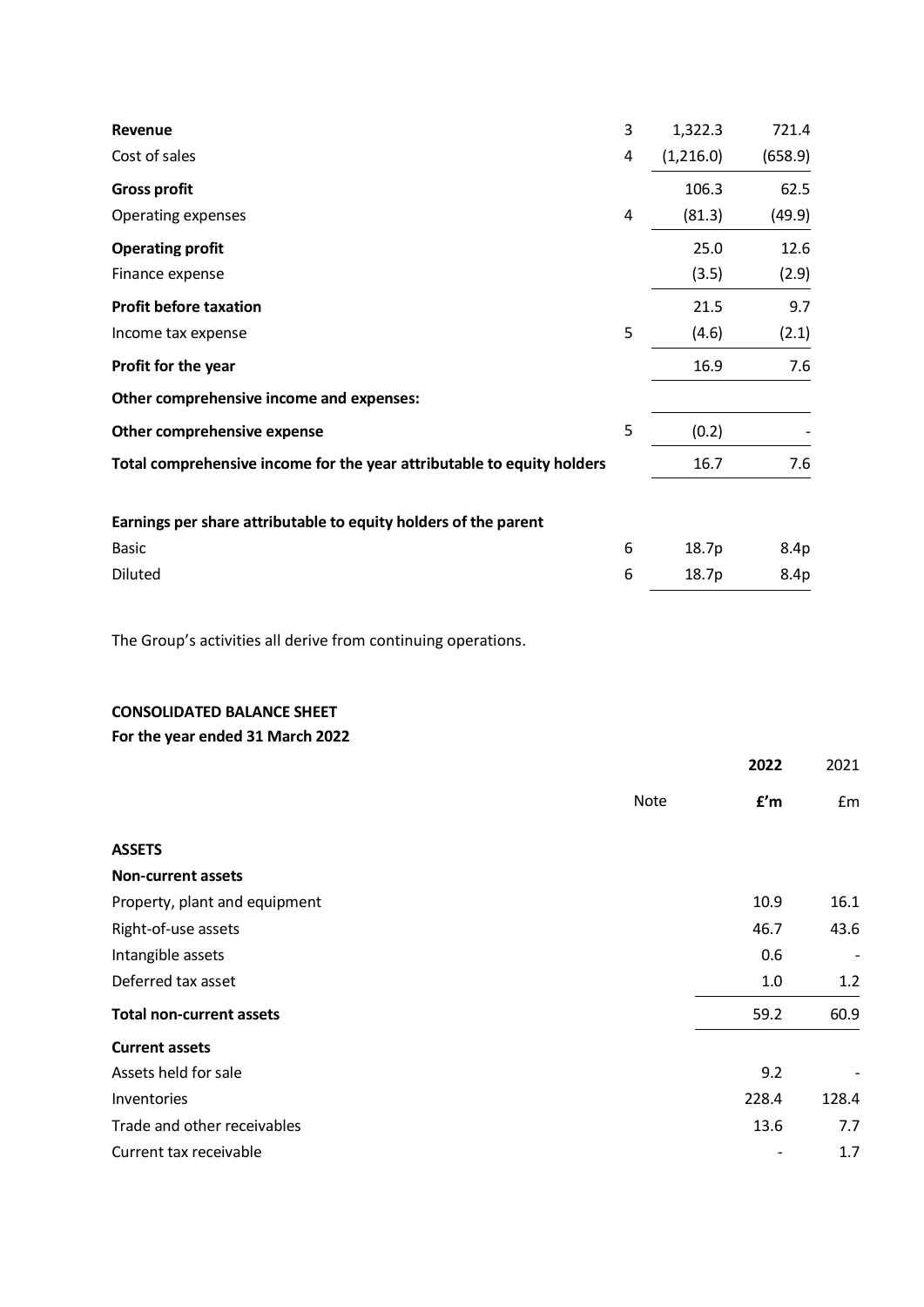| Revenue                                                                | 3 | 1,322.3   | 721.4   |
|------------------------------------------------------------------------|---|-----------|---------|
| Cost of sales                                                          | 4 | (1,216.0) | (658.9) |
| <b>Gross profit</b>                                                    |   | 106.3     | 62.5    |
| Operating expenses                                                     | 4 | (81.3)    | (49.9)  |
| <b>Operating profit</b>                                                |   | 25.0      | 12.6    |
| Finance expense                                                        |   | (3.5)     | (2.9)   |
| <b>Profit before taxation</b>                                          |   | 21.5      | 9.7     |
| Income tax expense                                                     | 5 | (4.6)     | (2.1)   |
| Profit for the year                                                    |   | 16.9      | 7.6     |
| Other comprehensive income and expenses:                               |   |           |         |
| Other comprehensive expense                                            | 5 | (0.2)     |         |
| Total comprehensive income for the year attributable to equity holders |   | 16.7      | 7.6     |
| Earnings per share attributable to equity holders of the parent        |   |           |         |
| <b>Basic</b>                                                           | 6 | 18.7p     | 8.4p    |
| Diluted                                                                | 6 | 18.7p     | 8.4p    |

The Group's activities all derive from continuing operations.

# **CONSOLIDATED BALANCE SHEET**

**For the year ended 31 March 2022**

|                                 |             | 2022  | 2021                     |
|---------------------------------|-------------|-------|--------------------------|
|                                 | <b>Note</b> | f'm   | £m                       |
| <b>ASSETS</b>                   |             |       |                          |
| <b>Non-current assets</b>       |             |       |                          |
| Property, plant and equipment   |             | 10.9  | 16.1                     |
| Right-of-use assets             |             | 46.7  | 43.6                     |
| Intangible assets               |             | 0.6   | $\overline{\phantom{a}}$ |
| Deferred tax asset              |             | 1.0   | 1.2                      |
| <b>Total non-current assets</b> |             | 59.2  | 60.9                     |
| <b>Current assets</b>           |             |       |                          |
| Assets held for sale            |             | 9.2   |                          |
| Inventories                     |             | 228.4 | 128.4                    |
| Trade and other receivables     |             | 13.6  | 7.7                      |
| Current tax receivable          |             |       | 1.7                      |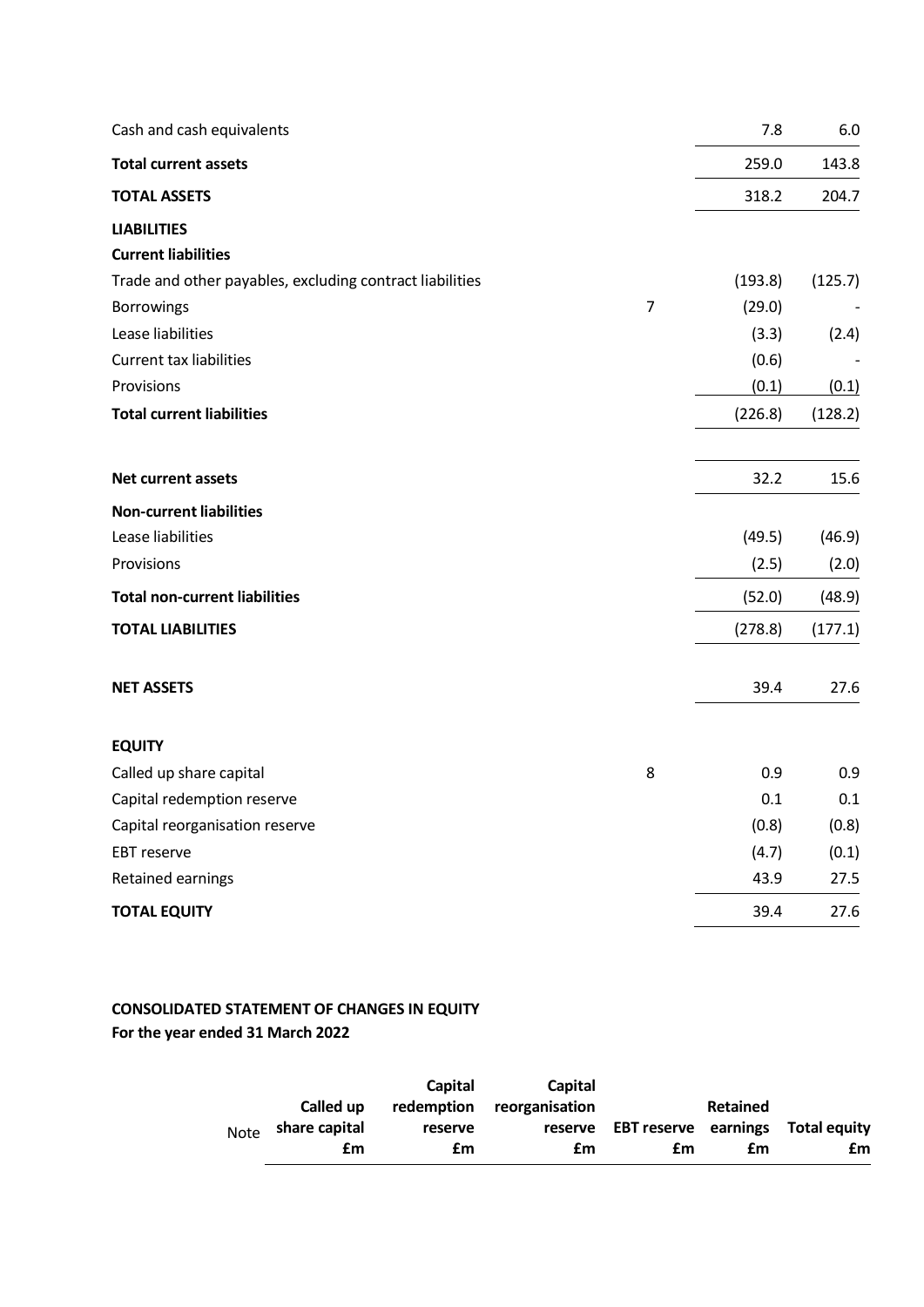| Cash and cash equivalents                                |                | 7.8     | 6.0     |
|----------------------------------------------------------|----------------|---------|---------|
| <b>Total current assets</b>                              |                | 259.0   | 143.8   |
| <b>TOTAL ASSETS</b>                                      |                | 318.2   | 204.7   |
| <b>LIABILITIES</b>                                       |                |         |         |
| <b>Current liabilities</b>                               |                |         |         |
| Trade and other payables, excluding contract liabilities |                | (193.8) | (125.7) |
| Borrowings                                               | $\overline{7}$ | (29.0)  |         |
| Lease liabilities                                        |                | (3.3)   | (2.4)   |
| <b>Current tax liabilities</b>                           |                | (0.6)   |         |
| Provisions                                               |                | (0.1)   | (0.1)   |
| <b>Total current liabilities</b>                         |                | (226.8) | (128.2) |
| Net current assets                                       |                | 32.2    | 15.6    |
| <b>Non-current liabilities</b>                           |                |         |         |
| Lease liabilities                                        |                | (49.5)  | (46.9)  |
| Provisions                                               |                | (2.5)   | (2.0)   |
| <b>Total non-current liabilities</b>                     |                | (52.0)  | (48.9)  |
| <b>TOTAL LIABILITIES</b>                                 |                | (278.8) | (177.1) |
| <b>NET ASSETS</b>                                        |                | 39.4    | 27.6    |
| <b>EQUITY</b>                                            |                |         |         |
| Called up share capital                                  | 8              | 0.9     | 0.9     |
| Capital redemption reserve                               |                | 0.1     | 0.1     |
| Capital reorganisation reserve                           |                | (0.8)   | (0.8)   |
| EBT reserve                                              |                | (4.7)   | (0.1)   |
| Retained earnings                                        |                | 43.9    | 27.5    |
| <b>TOTAL EQUITY</b>                                      |                | 39.4    | 27.6    |

# **CONSOLIDATED STATEMENT OF CHANGES IN EQUITY For the year ended 31 March 2022**

|             |               | Capital | Capital                   |                                           |                 |    |
|-------------|---------------|---------|---------------------------|-------------------------------------------|-----------------|----|
|             | Called up     |         | redemption reorganisation |                                           | <b>Retained</b> |    |
| <b>Note</b> | share capital | reserve |                           | reserve EBT reserve earnings Total equity |                 |    |
|             | £m            | £m      | £m                        | £m                                        | £m              | £m |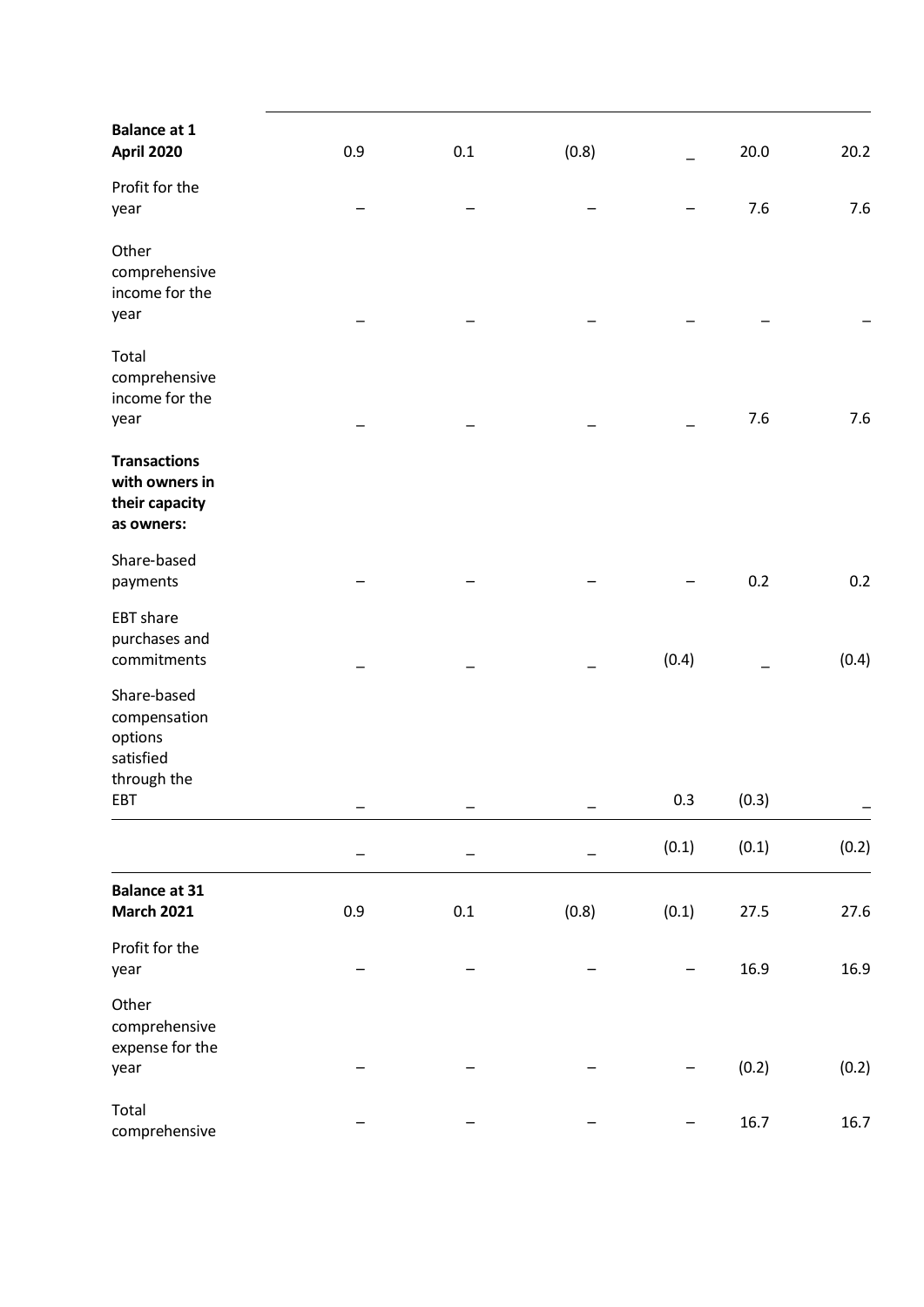| <b>Balance at 1</b><br><b>April 2020</b>                              | 0.9 | 0.1     | (0.8) |       | 20.0  | 20.2  |
|-----------------------------------------------------------------------|-----|---------|-------|-------|-------|-------|
| Profit for the<br>year                                                |     |         |       |       | 7.6   | 7.6   |
| Other<br>comprehensive<br>income for the<br>year                      |     |         |       |       |       |       |
| Total<br>comprehensive<br>income for the<br>year                      |     |         |       |       | 7.6   | 7.6   |
| <b>Transactions</b><br>with owners in<br>their capacity<br>as owners: |     |         |       |       |       |       |
| Share-based<br>payments                                               |     |         |       |       | 0.2   | 0.2   |
| <b>EBT</b> share<br>purchases and<br>commitments                      |     |         |       | (0.4) |       | (0.4) |
| Share-based<br>compensation<br>options<br>satisfied<br>through the    |     |         |       |       |       |       |
| EBT                                                                   |     |         |       | 0.3   | (0.3) |       |
|                                                                       |     |         |       | (0.1) | (0.1) | (0.2) |
| <b>Balance at 31</b><br><b>March 2021</b>                             | 0.9 | $0.1\,$ | (0.8) | (0.1) | 27.5  | 27.6  |
| Profit for the<br>year                                                |     |         |       |       | 16.9  | 16.9  |
| Other<br>comprehensive<br>expense for the<br>year                     |     |         |       |       | (0.2) | (0.2) |
| Total<br>comprehensive                                                |     |         |       |       | 16.7  | 16.7  |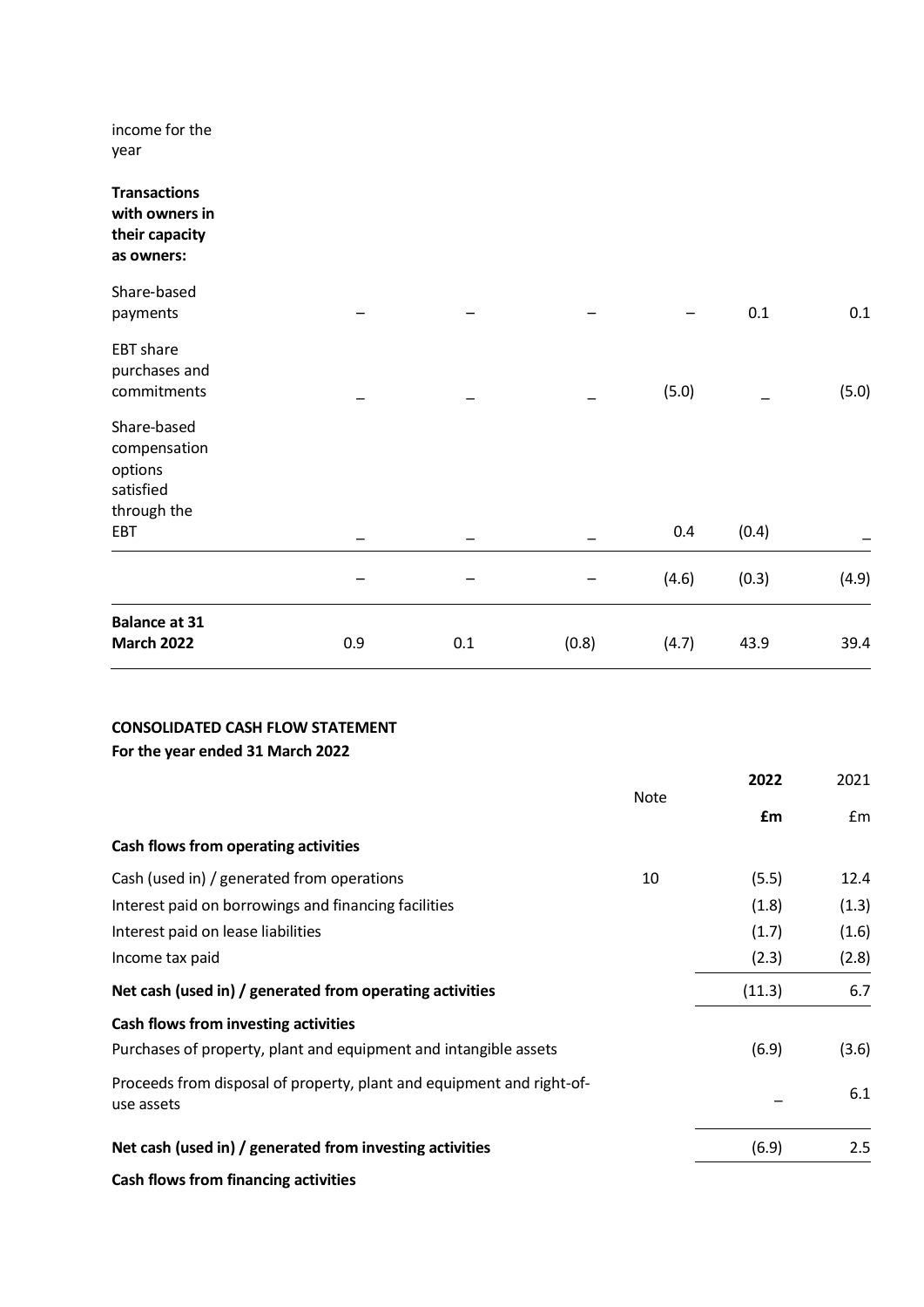income for the year

| <b>Transactions</b><br>with owners in<br>their capacity<br>as owners: |     |     |       |       |       |       |
|-----------------------------------------------------------------------|-----|-----|-------|-------|-------|-------|
| Share-based<br>payments                                               |     |     |       |       | 0.1   | 0.1   |
| <b>EBT</b> share<br>purchases and<br>commitments                      |     |     |       | (5.0) |       | (5.0) |
| Share-based<br>compensation<br>options<br>satisfied                   |     |     |       |       |       |       |
| through the<br>EBT                                                    |     |     |       | 0.4   | (0.4) |       |
|                                                                       |     |     |       | (4.6) | (0.3) | (4.9) |
| <b>Balance at 31</b><br><b>March 2022</b>                             | 0.9 | 0.1 | (0.8) | (4.7) | 43.9  | 39.4  |

# **CONSOLIDATED CASH FLOW STATEMENT For the year ended 31 March 2022**

|                                                                                     |             | 2022   | 2021          |
|-------------------------------------------------------------------------------------|-------------|--------|---------------|
|                                                                                     | <b>Note</b> | £m     | $\mathsf{fm}$ |
| Cash flows from operating activities                                                |             |        |               |
| Cash (used in) / generated from operations                                          | 10          | (5.5)  | 12.4          |
| Interest paid on borrowings and financing facilities                                |             | (1.8)  | (1.3)         |
| Interest paid on lease liabilities                                                  |             | (1.7)  | (1.6)         |
| Income tax paid                                                                     |             | (2.3)  | (2.8)         |
| Net cash (used in) / generated from operating activities                            |             | (11.3) | 6.7           |
| Cash flows from investing activities                                                |             |        |               |
| Purchases of property, plant and equipment and intangible assets                    |             | (6.9)  | (3.6)         |
| Proceeds from disposal of property, plant and equipment and right-of-<br>use assets |             |        | 6.1           |
| Net cash (used in) / generated from investing activities                            |             | (6.9)  | 2.5           |
| Cash flows from financing activities                                                |             |        |               |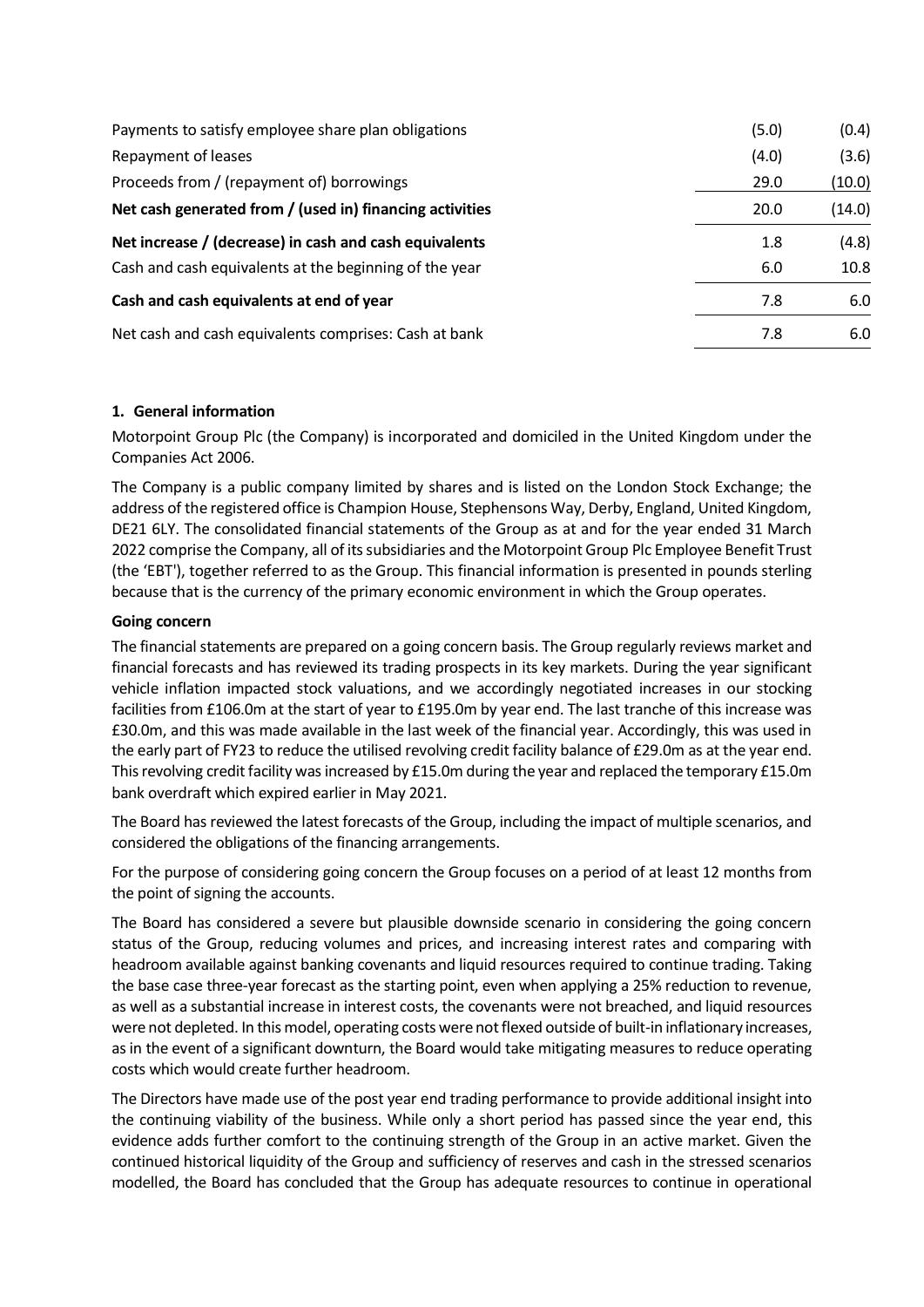| Payments to satisfy employee share plan obligations      | (5.0) | (0.4)  |
|----------------------------------------------------------|-------|--------|
| Repayment of leases                                      | (4.0) | (3.6)  |
| Proceeds from / (repayment of) borrowings                | 29.0  | (10.0) |
| Net cash generated from / (used in) financing activities | 20.0  | (14.0) |
| Net increase / (decrease) in cash and cash equivalents   | 1.8   | (4.8)  |
| Cash and cash equivalents at the beginning of the year   | 6.0   | 10.8   |
| Cash and cash equivalents at end of year                 | 7.8   | 6.0    |
| Net cash and cash equivalents comprises: Cash at bank    | 7.8   | 6.0    |

# **1. General information**

Motorpoint Group Plc (the Company) is incorporated and domiciled in the United Kingdom under the Companies Act 2006.

The Company is a public company limited by shares and is listed on the London Stock Exchange; the address of the registered office is Champion House, Stephensons Way, Derby, England, United Kingdom, DE21 6LY. The consolidated financial statements of the Group as at and for the year ended 31 March 2022 comprise the Company, all of its subsidiaries and the Motorpoint Group Plc Employee Benefit Trust (the 'EBT'), together referred to as the Group. This financial information is presented in pounds sterling because that is the currency of the primary economic environment in which the Group operates.

# **Going concern**

The financial statements are prepared on a going concern basis. The Group regularly reviews market and financial forecasts and has reviewed its trading prospects in its key markets. During the year significant vehicle inflation impacted stock valuations, and we accordingly negotiated increases in our stocking facilities from £106.0m at the start of year to £195.0m by year end. The last tranche of this increase was £30.0m, and this was made available in the last week of the financial year. Accordingly, this was used in the early part of FY23 to reduce the utilised revolving credit facility balance of £29.0m as at the year end. This revolving credit facility was increased by £15.0m during the year and replaced the temporary £15.0m bank overdraft which expired earlier in May 2021.

The Board has reviewed the latest forecasts of the Group, including the impact of multiple scenarios, and considered the obligations of the financing arrangements.

For the purpose of considering going concern the Group focuses on a period of at least 12 months from the point of signing the accounts.

The Board has considered a severe but plausible downside scenario in considering the going concern status of the Group, reducing volumes and prices, and increasing interest rates and comparing with headroom available against banking covenants and liquid resources required to continue trading. Taking the base case three-year forecast as the starting point, even when applying a 25% reduction to revenue, as well as a substantial increase in interest costs, the covenants were not breached, and liquid resources were not depleted. In this model, operating costs were not flexed outside of built-in inflationary increases, as in the event of a significant downturn, the Board would take mitigating measures to reduce operating costs which would create further headroom.

The Directors have made use of the post year end trading performance to provide additional insight into the continuing viability of the business. While only a short period has passed since the year end, this evidence adds further comfort to the continuing strength of the Group in an active market. Given the continued historical liquidity of the Group and sufficiency of reserves and cash in the stressed scenarios modelled, the Board has concluded that the Group has adequate resources to continue in operational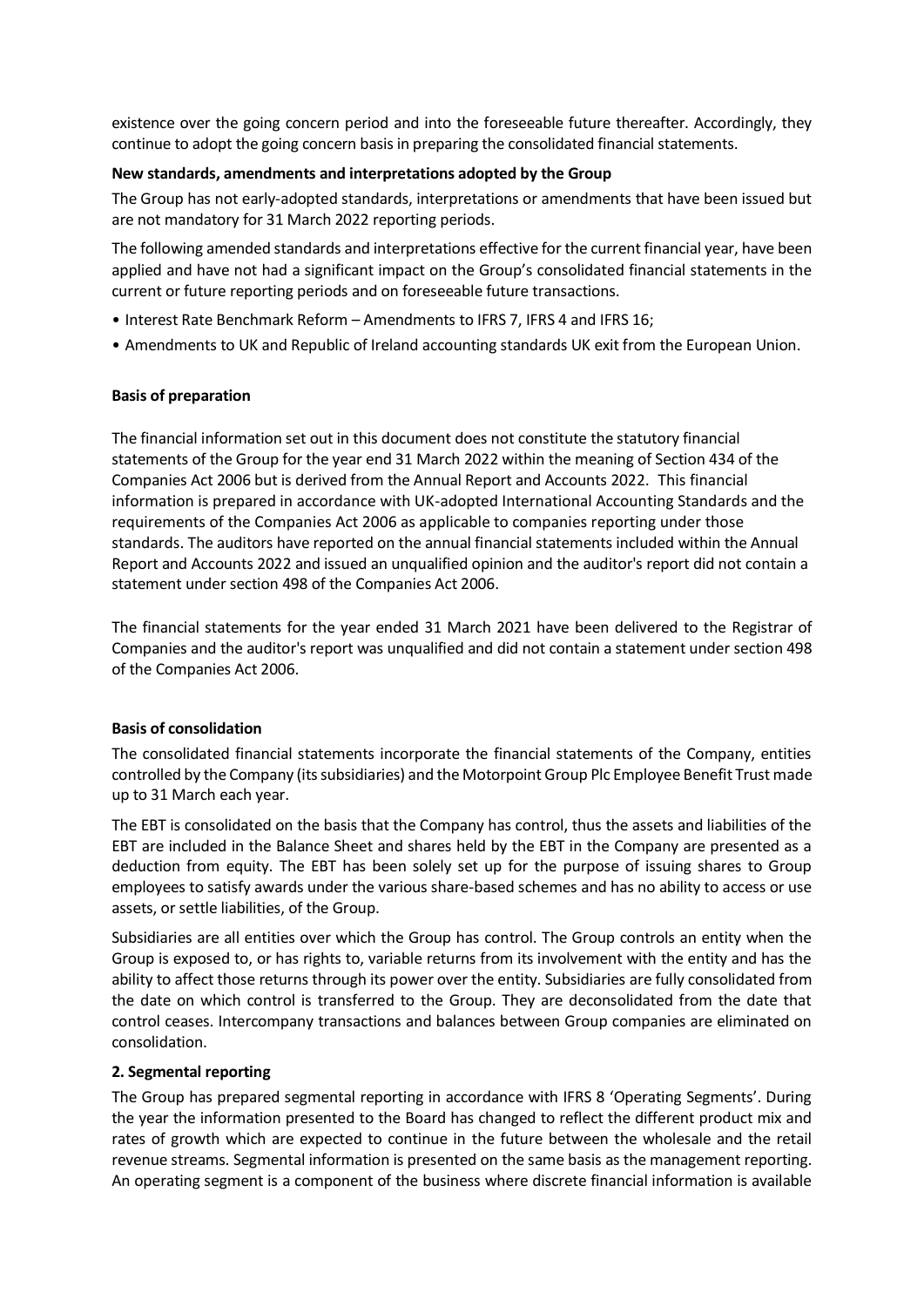existence over the going concern period and into the foreseeable future thereafter. Accordingly, they continue to adopt the going concern basis in preparing the consolidated financial statements.

#### **New standards, amendments and interpretations adopted by the Group**

The Group has not early-adopted standards, interpretations or amendments that have been issued but are not mandatory for 31 March 2022 reporting periods.

The following amended standards and interpretations effective for the current financial year, have been applied and have not had a significant impact on the Group's consolidated financial statements in the current or future reporting periods and on foreseeable future transactions.

- Interest Rate Benchmark Reform Amendments to IFRS 7, IFRS 4 and IFRS 16;
- Amendments to UK and Republic of Ireland accounting standards UK exit from the European Union.

#### **Basis of preparation**

The financial information set out in this document does not constitute the statutory financial statements of the Group for the year end 31 March 2022 within the meaning of Section 434 of the Companies Act 2006 but is derived from the Annual Report and Accounts 2022. This financial information is prepared in accordance with UK-adopted International Accounting Standards and the requirements of the Companies Act 2006 as applicable to companies reporting under those standards. The auditors have reported on the annual financial statements included within the Annual Report and Accounts 2022 and issued an unqualified opinion and the auditor's report did not contain a statement under section 498 of the Companies Act 2006.

The financial statements for the year ended 31 March 2021 have been delivered to the Registrar of Companies and the auditor's report was unqualified and did not contain a statement under section 498 of the Companies Act 2006.

#### **Basis of consolidation**

The consolidated financial statements incorporate the financial statements of the Company, entities controlled by the Company (its subsidiaries) and the Motorpoint Group Plc Employee Benefit Trust made up to 31 March each year.

The EBT is consolidated on the basis that the Company has control, thus the assets and liabilities of the EBT are included in the Balance Sheet and shares held by the EBT in the Company are presented as a deduction from equity. The EBT has been solely set up for the purpose of issuing shares to Group employees to satisfy awards under the various share-based schemes and has no ability to access or use assets, or settle liabilities, of the Group.

Subsidiaries are all entities over which the Group has control. The Group controls an entity when the Group is exposed to, or has rights to, variable returns from its involvement with the entity and has the ability to affect those returns through its power over the entity. Subsidiaries are fully consolidated from the date on which control is transferred to the Group. They are deconsolidated from the date that control ceases. Intercompany transactions and balances between Group companies are eliminated on consolidation.

# **2. Segmental reporting**

The Group has prepared segmental reporting in accordance with IFRS 8 'Operating Segments'. During the year the information presented to the Board has changed to reflect the different product mix and rates of growth which are expected to continue in the future between the wholesale and the retail revenue streams. Segmental information is presented on the same basis as the management reporting. An operating segment is a component of the business where discrete financial information is available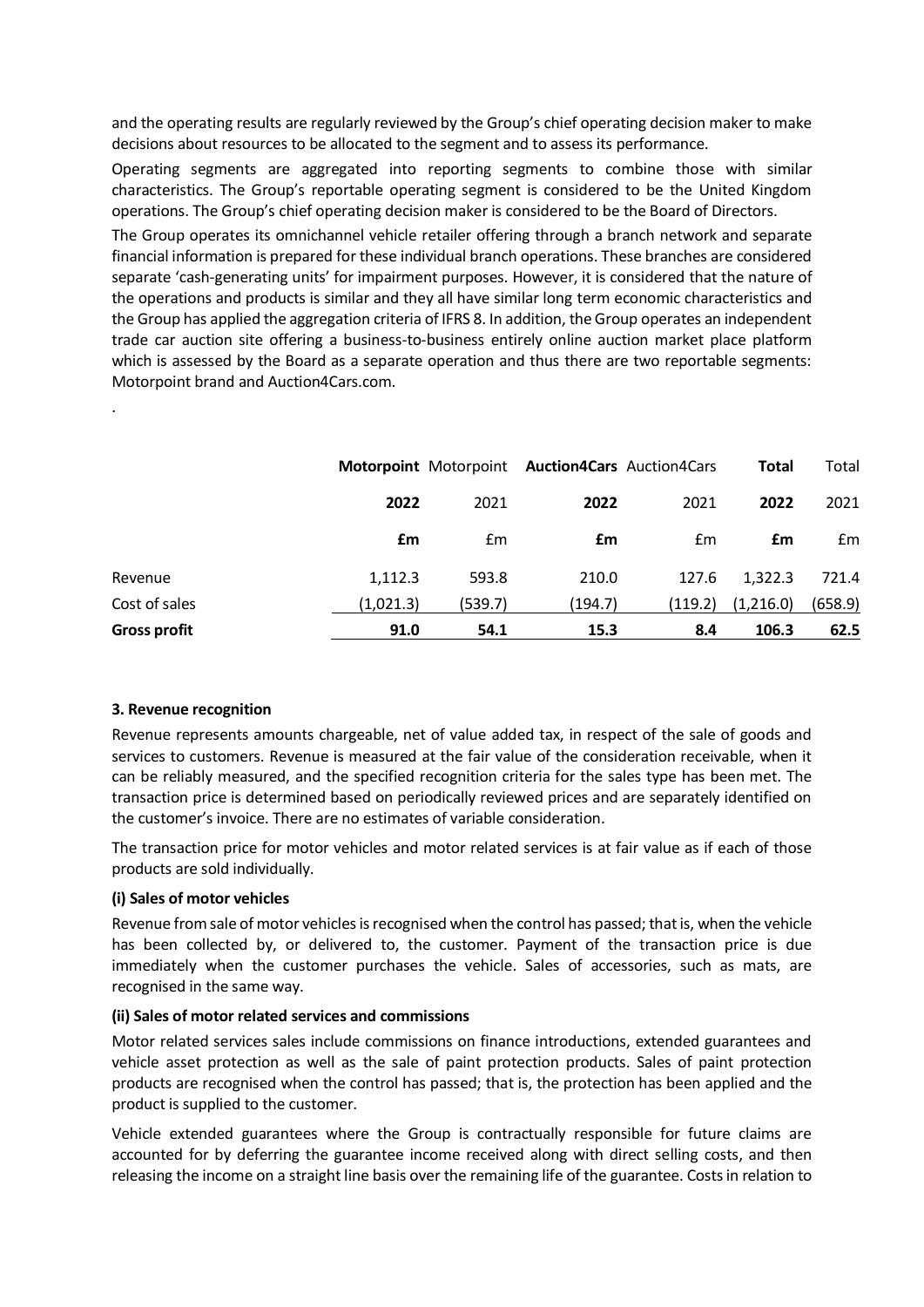and the operating results are regularly reviewed by the Group's chief operating decision maker to make decisions about resources to be allocated to the segment and to assess its performance.

Operating segments are aggregated into reporting segments to combine those with similar characteristics. The Group's reportable operating segment is considered to be the United Kingdom operations. The Group's chief operating decision maker is considered to be the Board of Directors.

The Group operates its omnichannel vehicle retailer offering through a branch network and separate financial information is prepared for these individual branch operations. These branches are considered separate 'cash-generating units' for impairment purposes. However, it is considered that the nature of the operations and products is similar and they all have similar long term economic characteristics and the Group has applied the aggregation criteria of IFRS 8. In addition, the Group operates an independent trade car auction site offering a business-to-business entirely online auction market place platform which is assessed by the Board as a separate operation and thus there are two reportable segments: Motorpoint brand and Auction4Cars.com.

| Revenue             | 1,112.3   | 593.8   | 210.0   | 127.6   | 1,322.3   | 721.4   |
|---------------------|-----------|---------|---------|---------|-----------|---------|
| Cost of sales       | (1,021.3) | (539.7) | (194.7) | (119.2) | (1,216.0) | (658.9) |
| <b>Gross profit</b> | 91.0      | 54.1    | 15.3    | 8.4     | 106.3     | 62.5    |

# **3. Revenue recognition**

.

Revenue represents amounts chargeable, net of value added tax, in respect of the sale of goods and services to customers. Revenue is measured at the fair value of the consideration receivable, when it can be reliably measured, and the specified recognition criteria for the sales type has been met. The transaction price is determined based on periodically reviewed prices and are separately identified on the customer's invoice. There are no estimates of variable consideration.

The transaction price for motor vehicles and motor related services is at fair value as if each of those products are sold individually.

# **(i) Sales of motor vehicles**

Revenue from sale of motor vehicles is recognised when the control has passed; that is, when the vehicle has been collected by, or delivered to, the customer. Payment of the transaction price is due immediately when the customer purchases the vehicle. Sales of accessories, such as mats, are recognised in the same way.

# **(ii) Sales of motor related services and commissions**

Motor related services sales include commissions on finance introductions, extended guarantees and vehicle asset protection as well as the sale of paint protection products. Sales of paint protection products are recognised when the control has passed; that is, the protection has been applied and the product is supplied to the customer.

Vehicle extended guarantees where the Group is contractually responsible for future claims are accounted for by deferring the guarantee income received along with direct selling costs, and then releasing the income on a straight line basis over the remaining life of the guarantee. Costs in relation to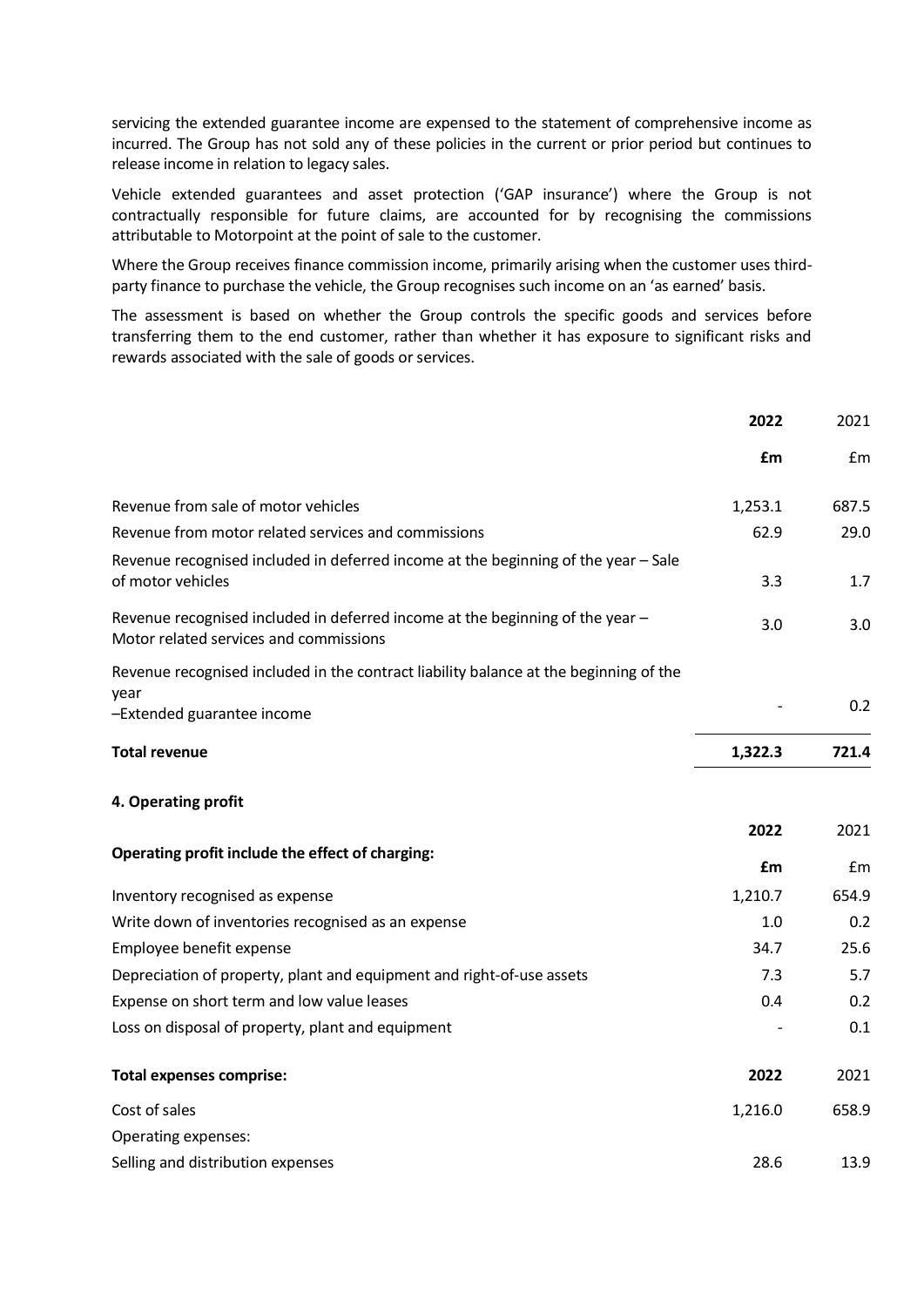servicing the extended guarantee income are expensed to the statement of comprehensive income as incurred. The Group has not sold any of these policies in the current or prior period but continues to release income in relation to legacy sales.

Vehicle extended guarantees and asset protection ('GAP insurance') where the Group is not contractually responsible for future claims, are accounted for by recognising the commissions attributable to Motorpoint at the point of sale to the customer.

Where the Group receives finance commission income, primarily arising when the customer uses thirdparty finance to purchase the vehicle, the Group recognises such income on an 'as earned' basis.

The assessment is based on whether the Group controls the specific goods and services before transferring them to the end customer, rather than whether it has exposure to significant risks and rewards associated with the sale of goods or services.

|                                                                                                                         | 2022       | 2021  |
|-------------------------------------------------------------------------------------------------------------------------|------------|-------|
|                                                                                                                         | <b>f</b> m | £m    |
| Revenue from sale of motor vehicles                                                                                     | 1,253.1    | 687.5 |
| Revenue from motor related services and commissions                                                                     | 62.9       | 29.0  |
| Revenue recognised included in deferred income at the beginning of the year - Sale<br>of motor vehicles                 | 3.3        | 1.7   |
| Revenue recognised included in deferred income at the beginning of the year -<br>Motor related services and commissions | 3.0        | 3.0   |
| Revenue recognised included in the contract liability balance at the beginning of the                                   |            |       |
| year<br>-Extended guarantee income                                                                                      |            | 0.2   |
| <b>Total revenue</b>                                                                                                    | 1,322.3    | 721.4 |
| 4. Operating profit                                                                                                     |            |       |
|                                                                                                                         | 2022       | 2021  |
| Operating profit include the effect of charging:                                                                        | £m         | £m    |
| Inventory recognised as expense                                                                                         | 1,210.7    | 654.9 |
| Write down of inventories recognised as an expense                                                                      | 1.0        | 0.2   |
| Employee benefit expense                                                                                                | 34.7       | 25.6  |
| Depreciation of property, plant and equipment and right-of-use assets                                                   | 7.3        | 5.7   |
| Expense on short term and low value leases                                                                              | 0.4        | 0.2   |
| Loss on disposal of property, plant and equipment                                                                       |            | 0.1   |
| <b>Total expenses comprise:</b>                                                                                         | 2022       | 2021  |
| Cost of sales                                                                                                           | 1,216.0    | 658.9 |
| Operating expenses:                                                                                                     |            |       |
| Selling and distribution expenses                                                                                       | 28.6       | 13.9  |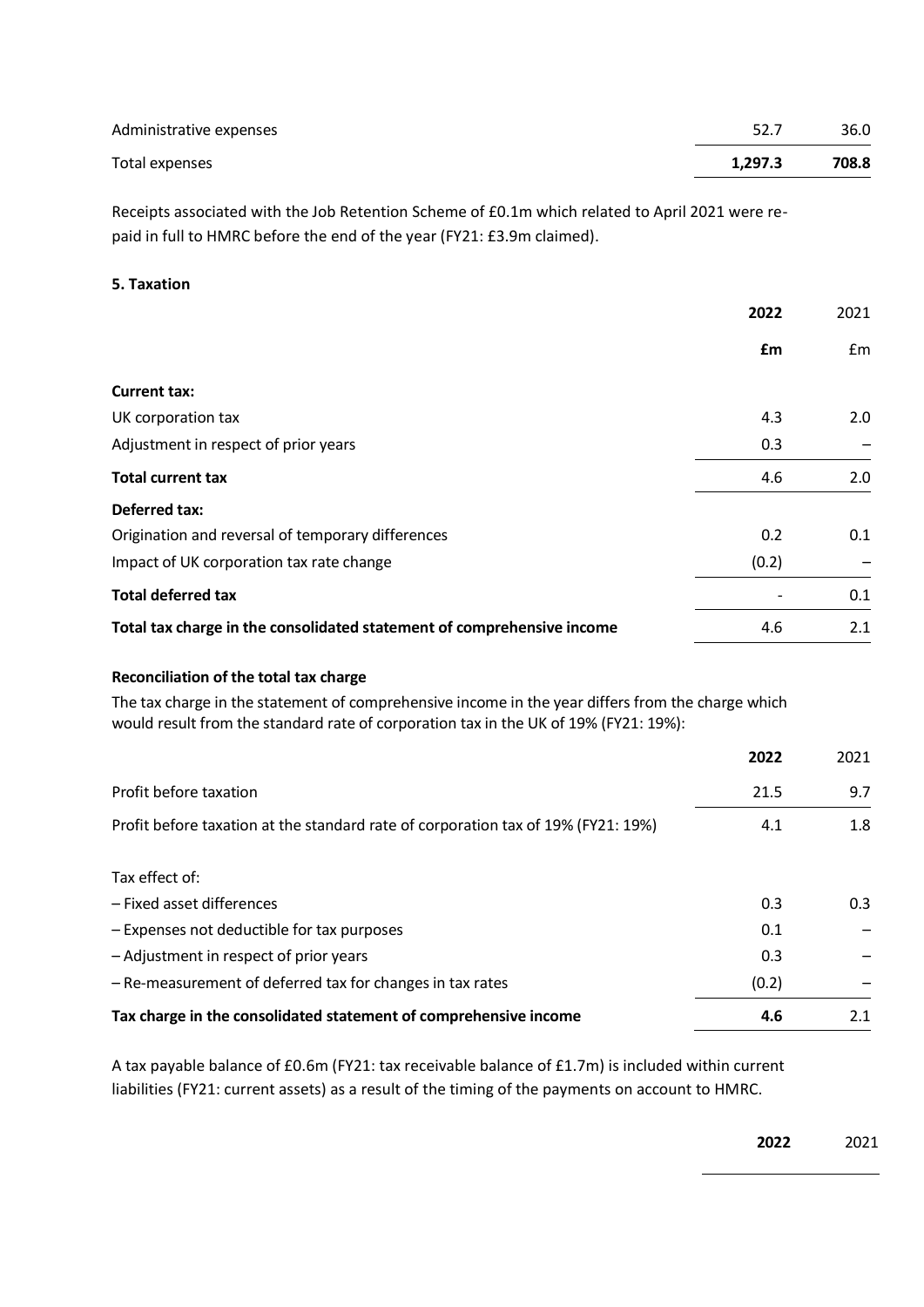| Administrative expenses | 52.7    | 36.0  |
|-------------------------|---------|-------|
| Total expenses          | 1.297.3 | 708.8 |

Receipts associated with the Job Retention Scheme of £0.1m which related to April 2021 were repaid in full to HMRC before the end of the year (FY21: £3.9m claimed).

# **5. Taxation**

| 2022  | 2021 |
|-------|------|
| £m    | £m   |
|       |      |
| 4.3   | 2.0  |
| 0.3   |      |
| 4.6   | 2.0  |
|       |      |
| 0.2   | 0.1  |
| (0.2) |      |
|       | 0.1  |
| 4.6   | 2.1  |
|       |      |

# **Reconciliation of the total tax charge**

The tax charge in the statement of comprehensive income in the year differs from the charge which would result from the standard rate of corporation tax in the UK of 19% (FY21: 19%):

|                                                                                   | 2022  | 2021 |
|-----------------------------------------------------------------------------------|-------|------|
| Profit before taxation                                                            | 21.5  | 9.7  |
| Profit before taxation at the standard rate of corporation tax of 19% (FY21: 19%) | 4.1   | 1.8  |
| Tax effect of:                                                                    |       |      |
| - Fixed asset differences                                                         | 0.3   | 0.3  |
| - Expenses not deductible for tax purposes                                        | 0.1   |      |
| - Adjustment in respect of prior years                                            | 0.3   |      |
| - Re-measurement of deferred tax for changes in tax rates                         | (0.2) |      |
| Tax charge in the consolidated statement of comprehensive income                  | 4.6   | 2.1  |

A tax payable balance of £0.6m (FY21: tax receivable balance of £1.7m) is included within current liabilities (FY21: current assets) as a result of the timing of the payments on account to HMRC.

**2022** 2021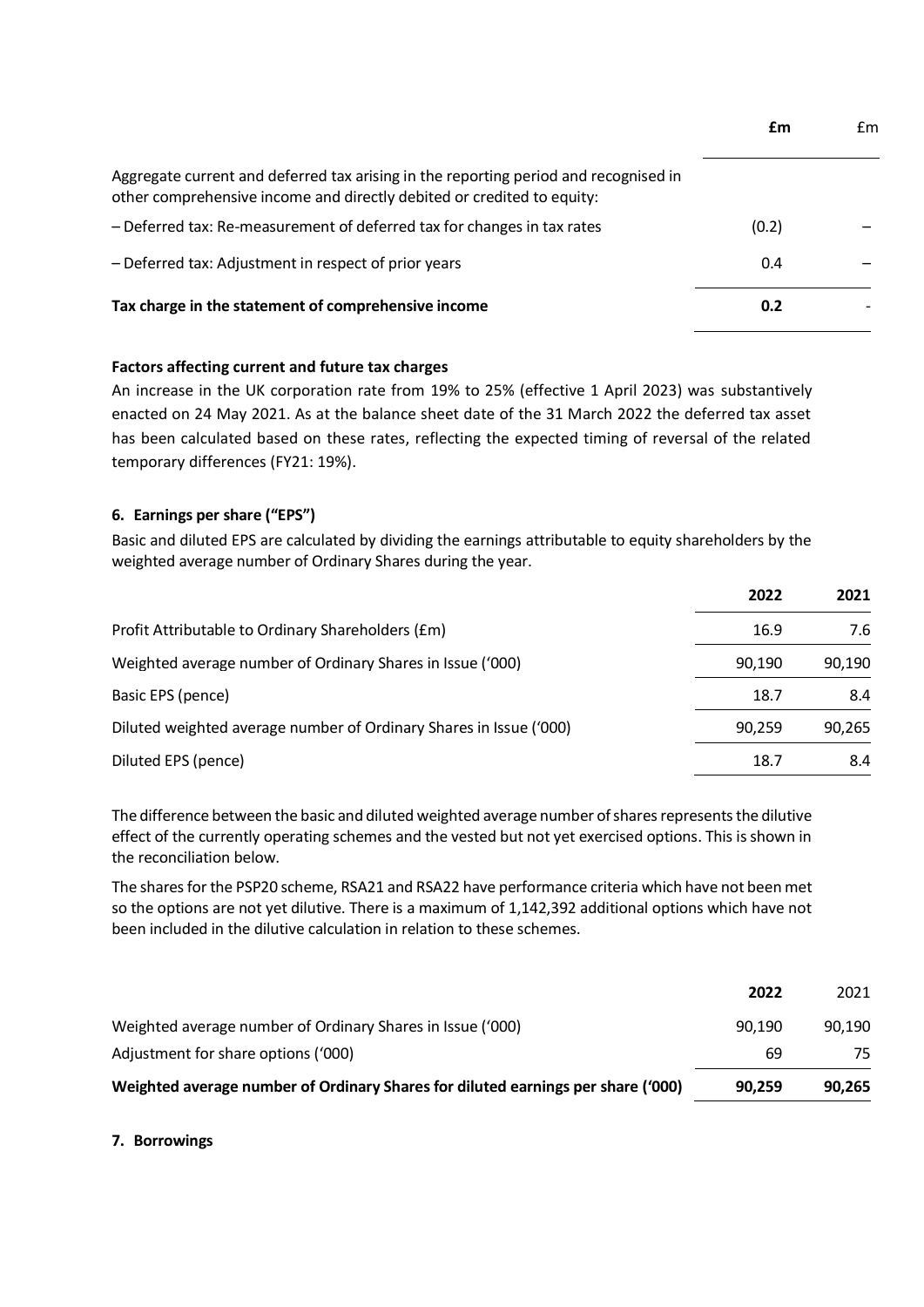|                                                                                                                                                                | £m    | £m |
|----------------------------------------------------------------------------------------------------------------------------------------------------------------|-------|----|
| Aggregate current and deferred tax arising in the reporting period and recognised in<br>other comprehensive income and directly debited or credited to equity: |       |    |
| - Deferred tax: Re-measurement of deferred tax for changes in tax rates                                                                                        | (0.2) |    |
| - Deferred tax: Adjustment in respect of prior years                                                                                                           | 0.4   |    |
| Tax charge in the statement of comprehensive income                                                                                                            | 0.2   |    |

# **Factors affecting current and future tax charges**

An increase in the UK corporation rate from 19% to 25% (effective 1 April 2023) was substantively enacted on 24 May 2021. As at the balance sheet date of the 31 March 2022 the deferred tax asset has been calculated based on these rates, reflecting the expected timing of reversal of the related temporary differences (FY21: 19%).

# **6. Earnings per share ("EPS")**

Basic and diluted EPS are calculated by dividing the earnings attributable to equity shareholders by the weighted average number of Ordinary Shares during the year.

|                                                                    | 2022   | 2021   |
|--------------------------------------------------------------------|--------|--------|
| Profit Attributable to Ordinary Shareholders (£m)                  | 16.9   | 7.6    |
| Weighted average number of Ordinary Shares in Issue ('000)         | 90.190 | 90,190 |
| Basic EPS (pence)                                                  | 18.7   | 8.4    |
| Diluted weighted average number of Ordinary Shares in Issue ('000) | 90.259 | 90,265 |
| Diluted EPS (pence)                                                | 18.7   | 8.4    |

The difference between the basic and diluted weighted average number of shares represents the dilutive effect of the currently operating schemes and the vested but not yet exercised options. This is shown in the reconciliation below.

The shares for the PSP20 scheme, RSA21 and RSA22 have performance criteria which have not been met so the options are not yet dilutive. There is a maximum of 1,142,392 additional options which have not been included in the dilutive calculation in relation to these schemes.

|                                                                                  | 2022   | 2021   |
|----------------------------------------------------------------------------------|--------|--------|
| Weighted average number of Ordinary Shares in Issue ('000)                       | 90.190 | 90.190 |
| Adjustment for share options ('000)                                              | 69     | 75     |
| Weighted average number of Ordinary Shares for diluted earnings per share ('000) | 90.259 | 90.265 |

**7. Borrowings**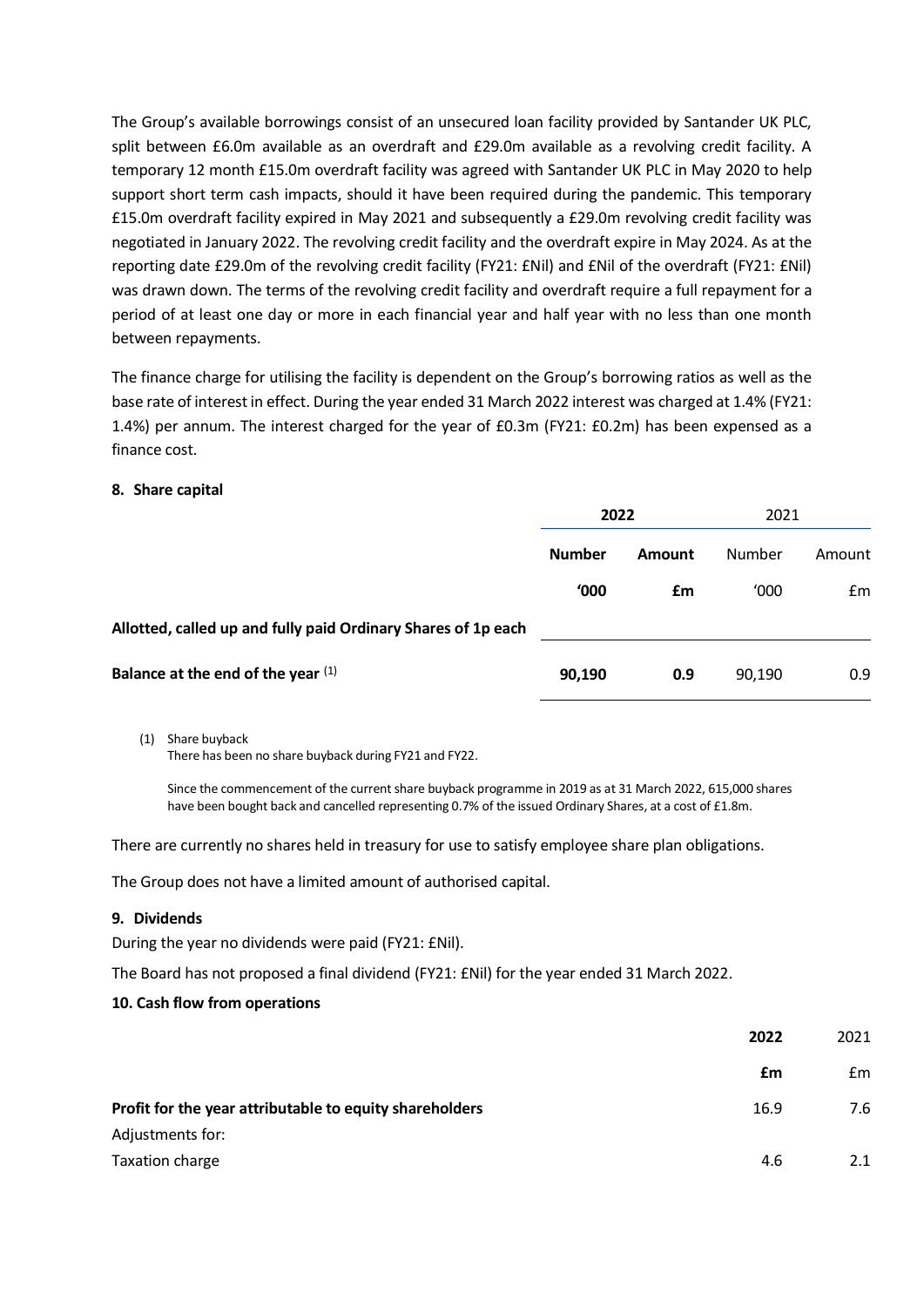The Group's available borrowings consist of an unsecured loan facility provided by Santander UK PLC, split between £6.0m available as an overdraft and £29.0m available as a revolving credit facility. A temporary 12 month £15.0m overdraft facility was agreed with Santander UK PLC in May 2020 to help support short term cash impacts, should it have been required during the pandemic. This temporary £15.0m overdraft facility expired in May 2021 and subsequently a £29.0m revolving credit facility was negotiated in January 2022. The revolving credit facility and the overdraft expire in May 2024. As at the reporting date £29.0m of the revolving credit facility (FY21: £Nil) and £Nil of the overdraft (FY21: £Nil) was drawn down. The terms of the revolving credit facility and overdraft require a full repayment for a period of at least one day or more in each financial year and half year with no less than one month between repayments.

The finance charge for utilising the facility is dependent on the Group's borrowing ratios as well as the base rate of interest in effect. During the year ended 31 March 2022 interest was charged at 1.4% (FY21: 1.4%) per annum. The interest charged for the year of £0.3m (FY21: £0.2m) has been expensed as a finance cost.

#### **8. Share capital**

|                                                               | 2022          |        | 2021   |        |
|---------------------------------------------------------------|---------------|--------|--------|--------|
|                                                               | <b>Number</b> | Amount | Number | Amount |
|                                                               | '000          | £m     | '000   | Em     |
| Allotted, called up and fully paid Ordinary Shares of 1p each |               |        |        |        |
| Balance at the end of the year $(1)$                          | 90,190        | 0.9    | 90,190 | 0.9    |

(1) Share buyback

There has been no share buyback during FY21 and FY22.

Since the commencement of the current share buyback programme in 2019 as at 31 March 2022, 615,000 shares have been bought back and cancelled representing 0.7% of the issued Ordinary Shares, at a cost of £1.8m.

There are currently no shares held in treasury for use to satisfy employee share plan obligations.

The Group does not have a limited amount of authorised capital.

# **9. Dividends**

During the year no dividends were paid (FY21: £Nil).

The Board has not proposed a final dividend (FY21: £Nil) for the year ended 31 March 2022.

# **10. Cash flow from operations**

|                                                         | 2022 | 2021          |
|---------------------------------------------------------|------|---------------|
|                                                         | £m   | $\mathsf{fm}$ |
| Profit for the year attributable to equity shareholders | 16.9 | 7.6           |
| Adjustments for:                                        |      |               |
| Taxation charge                                         | 4.6  | 2.1           |